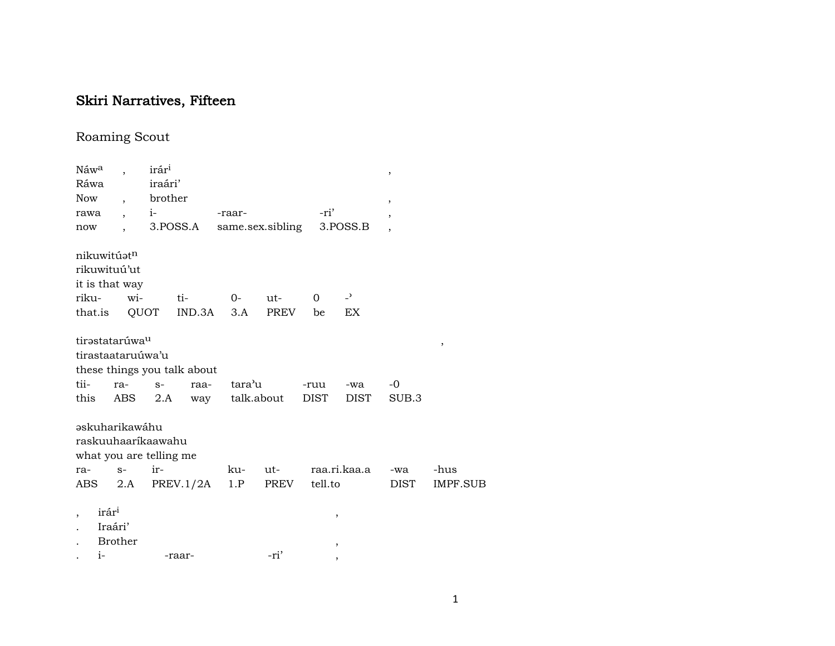## Skiri Narratives, Fifteen

## Roaming Scout

| Náwa  |                            |                  | irár <sup>i</sup>       |                             |         |                  |                |                          | $\,$                     |                       |
|-------|----------------------------|------------------|-------------------------|-----------------------------|---------|------------------|----------------|--------------------------|--------------------------|-----------------------|
| Ráwa  |                            |                  | iraári'                 |                             |         |                  |                |                          |                          |                       |
| Now   |                            | $\overline{ }$ , | brother                 |                             |         |                  |                |                          | ,                        |                       |
| rawa  |                            |                  | $i$ - $\sim$            |                             | -raar-  |                  | -ri'           |                          | $\overline{ }$           |                       |
| now   |                            |                  |                         | 3.POSS.A                    |         | same.sex.sibling |                | 3.POSS.B                 | $\overline{\phantom{a}}$ |                       |
|       |                            |                  |                         |                             |         |                  |                |                          |                          |                       |
|       | nikuwitúatn                |                  |                         |                             |         |                  |                |                          |                          |                       |
|       | rikuwituú'ut               |                  |                         |                             |         |                  |                |                          |                          |                       |
|       | it is that way             |                  |                         |                             |         |                  |                |                          |                          |                       |
| riku- |                            | wi-              |                         | ti-                         | $0-$    | $ut-$            | $\overline{0}$ | $\overline{z}$           |                          |                       |
|       | that.is                    |                  | QUOT                    | IND.3A                      | 3.A     | PREV             | be             | EX                       |                          |                       |
|       |                            |                  |                         |                             |         |                  |                |                          |                          |                       |
|       | tirastatarúwa <sup>u</sup> |                  |                         |                             |         |                  |                |                          |                          | $^\mathrm{^{^\circ}}$ |
|       | tirastaataruúwa'u          |                  |                         |                             |         |                  |                |                          |                          |                       |
|       |                            |                  |                         | these things you talk about |         |                  |                |                          |                          |                       |
| tii-  | ra-                        |                  | $S-$                    | raa-                        | tara'u  |                  | -ruu           | -wa                      | $-0$                     |                       |
| this  |                            | ABS              | 2.A                     | way                         |         | talk.about       | DIST           | DIST                     | SUB.3                    |                       |
|       |                            |                  |                         |                             |         |                  |                |                          |                          |                       |
|       | <b>askuharikawáhu</b>      |                  |                         |                             |         |                  |                |                          |                          |                       |
|       |                            |                  | raskuuhaaríkaawahu      |                             |         |                  |                |                          |                          |                       |
|       |                            |                  | what you are telling me |                             |         |                  |                |                          |                          |                       |
| ra-   | $S-$                       |                  | ir-                     |                             | ku- ut- |                  |                | raa.ri.kaa.a             | -wa                      | -hus                  |
| ABS   |                            |                  |                         | 2.A PREV. $1/2A$            | 1.P     | PREV             | tell.to        |                          | DIST                     | IMPF.SUB              |
|       |                            |                  |                         |                             |         |                  |                |                          |                          |                       |
|       | irár <sup>i</sup>          |                  |                         |                             |         |                  |                | $^\mathrm{,}$            |                          |                       |
|       | Iraári'                    |                  |                         |                             |         |                  |                |                          |                          |                       |
|       | <b>Brother</b>             |                  |                         |                             |         |                  |                | ,                        |                          |                       |
|       | $i-$                       |                  |                         | -raar-                      |         | -ri'             |                | $\overline{\phantom{a}}$ |                          |                       |
|       |                            |                  |                         |                             |         |                  |                |                          |                          |                       |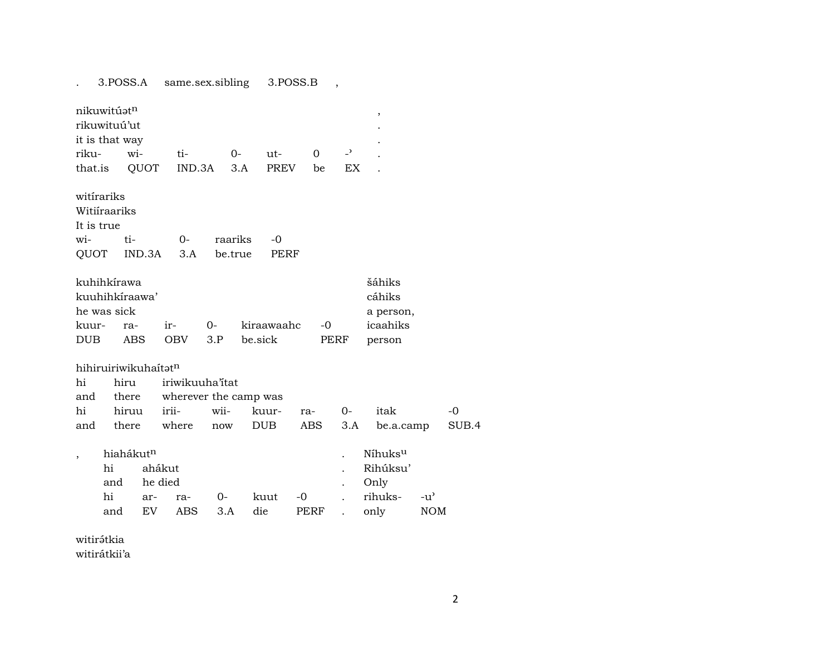3.POSS.A same.sex.sibling 3.POSS.B ,  $\mathcal{L}^{\text{max}}$ 

| nikuwitúət <sup>n</sup><br>rikuwituú'ut<br>it is that way |           |                                     |                       |              |         |             |      |              |                          | ,                                                   |     |  |
|-----------------------------------------------------------|-----------|-------------------------------------|-----------------------|--------------|---------|-------------|------|--------------|--------------------------|-----------------------------------------------------|-----|--|
| riku-                                                     |           | wi-                                 | ti-                   |              | $O -$   | $ut-$       |      | $\Omega$     | $\overline{\phantom{0}}$ |                                                     |     |  |
| that.is                                                   |           | QUOT                                | IND.3A                |              | 3.A     | <b>PREV</b> |      | be           | EX.                      |                                                     |     |  |
| witirariks<br>Witiíraariks<br>It is true                  |           |                                     |                       |              |         |             |      |              |                          |                                                     |     |  |
| wi-                                                       |           | ti-                                 | $O -$                 | raariks      |         | $-0$        |      |              |                          |                                                     |     |  |
| QUOT                                                      |           | IND.3A                              | 3.A                   | be.true      |         | PERF        |      |              |                          |                                                     |     |  |
| kuhihkírawa<br>he was sick<br>kuur-<br><b>DUB</b>         |           | kuuhihkíraawa'<br>ra-<br><b>ABS</b> | ir-<br><b>OBV</b>     | $0 -$<br>3.P | be.sick | kiraawaahc  |      | $-0$<br>PERF |                          | šáhiks<br>cáhiks<br>a person,<br>icaahiks<br>person |     |  |
|                                                           |           | hihiruiriwikuhaítat <sup>n</sup>    |                       |              |         |             |      |              |                          |                                                     |     |  |
| hi                                                        |           | hiru                                | iriwikuuha'itat       |              |         |             |      |              |                          |                                                     |     |  |
| and                                                       |           | there                               | wherever the camp was |              |         |             |      |              |                          |                                                     |     |  |
| hi                                                        |           | hiruu                               | irii-                 | wii-         |         | kuur-       | ra-  |              | $O -$                    | itak                                                |     |  |
| and                                                       |           | there                               | where                 | now          |         | DUB         | ABS  |              | 3.A                      | be.a.camp                                           |     |  |
| $\overline{ }$                                            | hi<br>and | hiahákut <sup>n</sup>               | ahákut<br>he died     |              |         |             |      |              |                          | Níhuks <sup>u</sup><br>Rihúksu'<br>Only             |     |  |
|                                                           | hi        | ar-                                 | ra-                   | 0-           |         | kuut        | -0   |              |                          | rihuks-                                             | -u' |  |
|                                                           | and       | EV                                  | <b>ABS</b>            | 3.A          |         | die         | PERF |              |                          | only                                                | NOM |  |

witirátkia

witirátkii'a

 $-0$ SUB.4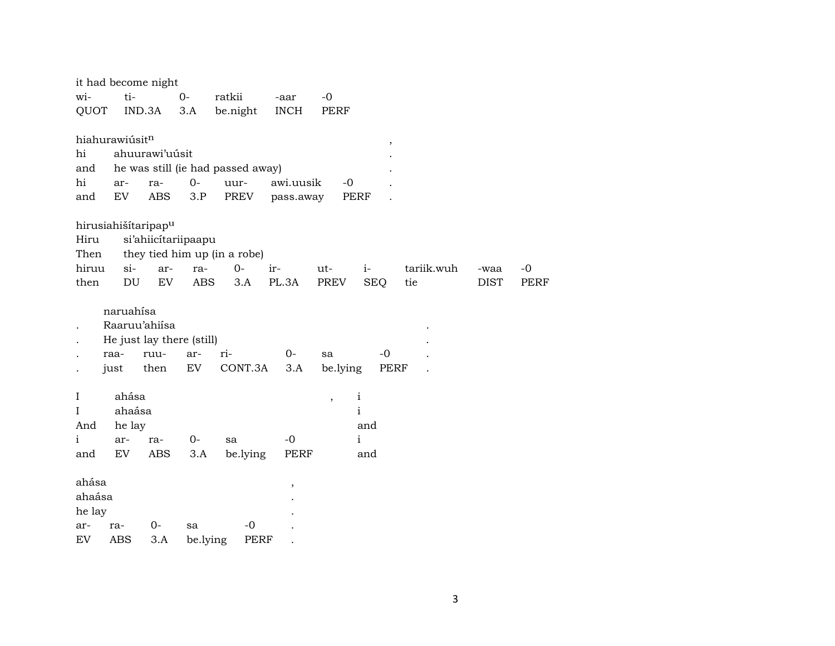|              |                   | it had become night                                |            |                                   |             |                          |              |            |             |             |
|--------------|-------------------|----------------------------------------------------|------------|-----------------------------------|-------------|--------------------------|--------------|------------|-------------|-------------|
| wi-          | ti-               |                                                    | $0-$       | ratkii                            | -aar        | $-0$                     |              |            |             |             |
| QUOT         |                   | IND.3A                                             | 3.A        | be.night                          | <b>INCH</b> | PERF                     |              |            |             |             |
|              | hiahurawiúsitn    |                                                    |            |                                   |             |                          | ,            |            |             |             |
| hi           |                   | ahuurawi'uúsit                                     |            |                                   |             |                          |              |            |             |             |
| and          |                   |                                                    |            | he was still (ie had passed away) |             |                          |              |            |             |             |
| hi           | ar-               | ra-                                                | $0-$       | uur-                              | awi.uusik   | $-0$                     |              |            |             |             |
| and          | EV                | <b>ABS</b>                                         | 3.P        | PREV                              | pass.away   |                          | <b>PERF</b>  |            |             |             |
|              |                   | hirusiahišítaripap <sup>u</sup>                    |            |                                   |             |                          |              |            |             |             |
| Hiru         |                   | si'ahiicítariipaapu                                |            |                                   |             |                          |              |            |             |             |
| Then         |                   |                                                    |            | they tied him up (in a robe)      |             |                          |              |            |             |             |
| hiruu        | $si-$             | ar-                                                | ra-        | 0-                                | ir-         | ut-                      | $i-$         | tariik.wuh | -waa        | $-0$        |
| then         | DU                | EV                                                 | <b>ABS</b> | 3.A                               | PL.3A       | PREV                     | <b>SEQ</b>   | tie        | <b>DIST</b> | <b>PERF</b> |
|              | naruahísa<br>raa- | Raaruu'ahiisa<br>He just lay there (still)<br>ruu- | ar-        | ri-                               | $O -$       | sa                       | $-0$         |            |             |             |
|              | just              | then                                               | EV         | CONT.3A                           | 3.A         | be.lying                 | PERF         |            |             |             |
| $\mathbf I$  | ahása             |                                                    |            |                                   |             | $\overline{\phantom{a}}$ | $\mathbf{i}$ |            |             |             |
| Ι            | ahaása            |                                                    |            |                                   |             |                          | $\mathbf{i}$ |            |             |             |
| And          | he lay            |                                                    |            |                                   |             |                          | and          |            |             |             |
| $\mathbf{i}$ | ar-               | ra-                                                | $0-$       | sa                                | $-0$        |                          | $\mathbf{i}$ |            |             |             |
| and          | EV                | ABS                                                | 3.A        | be.lying                          | PERF        |                          | and          |            |             |             |
| ahása        |                   |                                                    |            |                                   | $\,$        |                          |              |            |             |             |
| ahaása       |                   |                                                    |            |                                   |             |                          |              |            |             |             |
| he lay       |                   |                                                    |            |                                   |             |                          |              |            |             |             |
| ar-          | ra-               | $O -$                                              | sa         | $-0$                              |             |                          |              |            |             |             |
| EV           | <b>ABS</b>        | 3.A                                                | be.lying   | <b>PERF</b>                       |             |                          |              |            |             |             |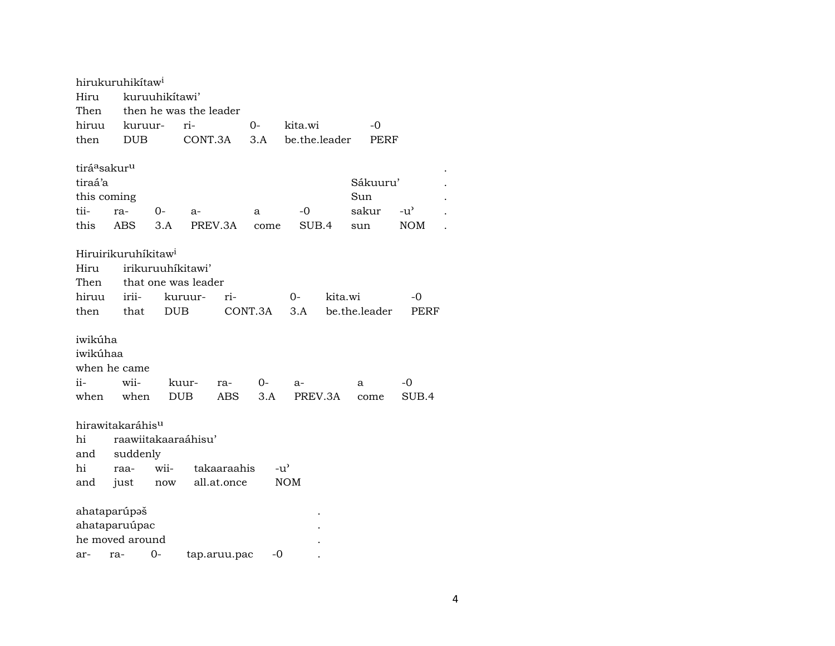|                                      | hirukuruhikítaw <sup>i</sup>    |                |                        |              |         |               |         |               |               |
|--------------------------------------|---------------------------------|----------------|------------------------|--------------|---------|---------------|---------|---------------|---------------|
| Hiru                                 |                                 | kuruuhikítawi' |                        |              |         |               |         |               |               |
| Then                                 |                                 |                | then he was the leader |              |         |               |         |               |               |
| hiruu                                | kuruur-                         |                | ri-                    |              | $O -$   | kita.wi       |         | $-0$          |               |
| then                                 | <b>DUB</b>                      |                | CONT.3A                |              | 3.A     | be.the.leader |         | PERF          |               |
|                                      |                                 |                |                        |              |         |               |         |               |               |
| tirá <sup>a</sup> sakur <sup>u</sup> |                                 |                |                        |              |         |               |         |               |               |
| tiraá'a                              |                                 |                |                        |              |         |               |         | Sákuuru'      |               |
| this coming                          |                                 |                |                        |              |         |               |         | Sun           |               |
| tii-                                 | ra-                             | $O -$          | $a-$                   |              | a       | $-0$          |         | sakur         | $-u^{\prime}$ |
| this                                 | <b>ABS</b>                      | 3.A            |                        | PREV.3A      | come    | SUB.4         |         | sun           | <b>NOM</b>    |
|                                      |                                 |                |                        |              |         |               |         |               |               |
|                                      | Hiruirikuruhíkitaw <sup>i</sup> |                |                        |              |         |               |         |               |               |
| Hiru                                 |                                 |                | irikuruuhíkitawi'      |              |         |               |         |               |               |
| Then                                 |                                 |                | that one was leader    |              |         |               |         |               |               |
| hiruu                                | irii-                           |                | kuruur-                | ri-          |         | 0-            | kita.wi |               | -0            |
| then                                 | that                            | <b>DUB</b>     |                        |              | CONT.3A | 3.A           |         | be.the.leader | PERF          |
|                                      |                                 |                |                        |              |         |               |         |               |               |
| iwikúha                              |                                 |                |                        |              |         |               |         |               |               |
| iwikúhaa                             |                                 |                |                        |              |         |               |         |               |               |
|                                      | when he came                    |                |                        |              |         |               |         |               |               |
| ii-                                  | wii-                            |                | kuur-                  | ra-          | 0-      | $a-$          |         | a             | -0            |
| when                                 | when                            |                | <b>DUB</b>             | ABS          | 3.A     | PREV.3A       |         | come          | SUB.4         |
|                                      |                                 |                |                        |              |         |               |         |               |               |
|                                      | hirawitakaráhis <sup>u</sup>    |                |                        |              |         |               |         |               |               |
| hi                                   | raawiitakaaraáhisu'             |                |                        |              |         |               |         |               |               |
| and                                  | suddenly                        |                |                        |              |         |               |         |               |               |
| hi                                   | raa-                            | wii-           |                        | takaaraahis  |         | $-u^{\prime}$ |         |               |               |
| and                                  | just                            | now            |                        | all.at.once  |         | <b>NOM</b>    |         |               |               |
|                                      |                                 |                |                        |              |         |               |         |               |               |
|                                      | ahataparúpaš                    |                |                        |              |         |               |         |               |               |
|                                      | ahataparuúpac                   |                |                        |              |         |               |         |               |               |
|                                      | he moved around                 |                |                        |              |         |               |         |               |               |
| ar-                                  | ra-                             | 0-             |                        | tap.aruu.pac | -0      |               |         |               |               |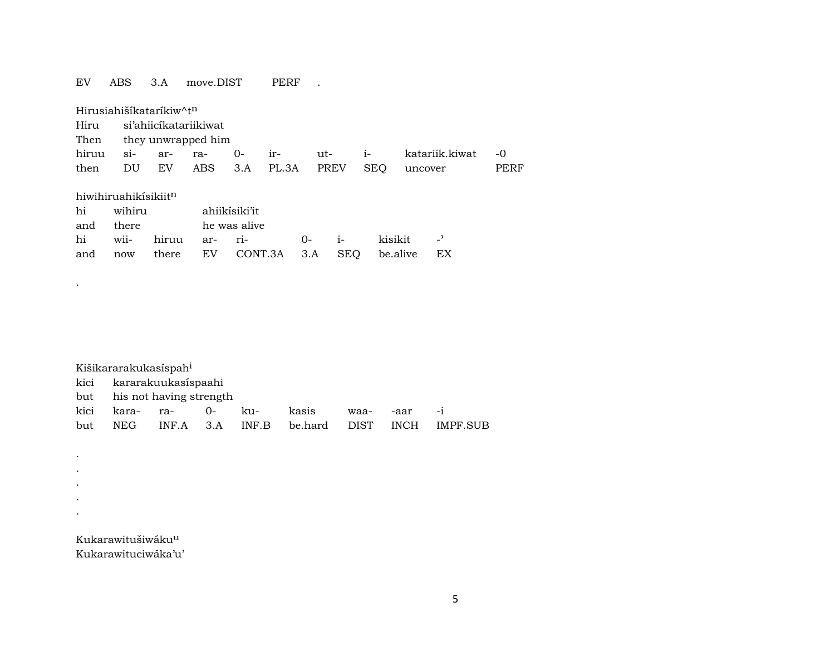## EV ABS 3.A move.DIST PERF .

| Hirusiahišíkataríkiw^t <sup>n</sup> |                         |  |  |  |                               |  |              |                |      |  |  |  |  |
|-------------------------------------|-------------------------|--|--|--|-------------------------------|--|--------------|----------------|------|--|--|--|--|
| Hiru si'ahiicikatariikiwat          |                         |  |  |  |                               |  |              |                |      |  |  |  |  |
|                                     | Then they unwrapped him |  |  |  |                               |  |              |                |      |  |  |  |  |
|                                     |                         |  |  |  | hiruu si- ar- ra- 0- ir-      |  | $ut$ - $i$ - | katariik.kiwat | $-0$ |  |  |  |  |
|                                     |                         |  |  |  | then DU EV ABS 3.A PL.3A PREV |  | SEO          | uncover        | PERF |  |  |  |  |
| hiwihiruahikisikiit <sup>n</sup>    |                         |  |  |  |                               |  |              |                |      |  |  |  |  |

|  | hi wihiru ahiikisiki'it |                                                 |  |  |
|--|-------------------------|-------------------------------------------------|--|--|
|  | and there he was alive  |                                                 |  |  |
|  |                         | hi wii- hiruu ar- ri-     0-  i-   kisikit   -' |  |  |
|  |                         | and now there EV CONT.3A 3.A SEQ be.alive EX    |  |  |

| Kišikararakukasíspah <sup>i</sup> |                        |  |  |                                                    |  |              |  |  |  |  |  |
|-----------------------------------|------------------------|--|--|----------------------------------------------------|--|--------------|--|--|--|--|--|
| kici kararakuukasispaahi          |                        |  |  |                                                    |  |              |  |  |  |  |  |
| but his not having strength       |                        |  |  |                                                    |  |              |  |  |  |  |  |
|                                   | kici kara- ra-  0- ku- |  |  | kasis                                              |  | waa- -aar -i |  |  |  |  |  |
|                                   |                        |  |  | but NEG INF.A 3.A INF.B be.hard DIST INCH IMPF.SUB |  |              |  |  |  |  |  |

Kukarawitušiwáku<sup>u</sup> Kukarawituciwáka'u'

.

. . . . .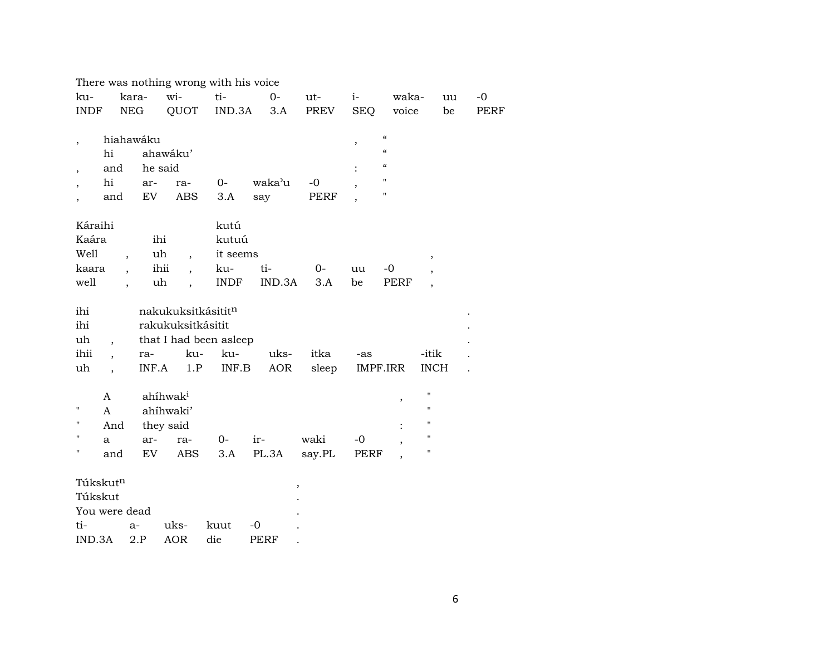|                          |                          |            |                                  | There was nothing wrong with his voice |        |        |               |                                        |                          |             |
|--------------------------|--------------------------|------------|----------------------------------|----------------------------------------|--------|--------|---------------|----------------------------------------|--------------------------|-------------|
| ku-                      |                          | kara-      | wi-                              | ti-                                    | $0-$   | ut-    | $i-$          | waka-                                  | uu                       | $-0$        |
| <b>INDF</b>              |                          | <b>NEG</b> | QUOT                             | IND.3A                                 | 3.A    | PREV   | <b>SEQ</b>    | voice                                  | be                       | <b>PERF</b> |
|                          |                          | hiahawáku  |                                  |                                        |        |        |               | $\mathcal{C}$                          |                          |             |
| $\overline{\phantom{a}}$ | hi                       |            | ahawáku'                         |                                        |        |        | $^\mathrm{,}$ | $\epsilon\epsilon$                     |                          |             |
| $\overline{\phantom{a}}$ | and                      | he said    |                                  |                                        |        |        |               | $\boldsymbol{\zeta}\boldsymbol{\zeta}$ |                          |             |
| $\overline{\phantom{a}}$ | hi                       | ar-        | ra-                              | $0-$                                   | waka'u | $-0$   |               | $\pmb{\mathsf{H}}$                     |                          |             |
| $\overline{\phantom{a}}$ | and                      | ${\rm EV}$ | ABS                              | 3.A                                    | say    | PERF   |               | $\pmb{\mathsf{H}}$                     |                          |             |
| Káraihi                  |                          |            |                                  | kutú                                   |        |        |               |                                        |                          |             |
| Kaára                    |                          | ihi        |                                  | kutuú                                  |        |        |               |                                        |                          |             |
| Well                     | $\overline{\phantom{a}}$ | uh         | $\overline{ }$ ,                 | it seems                               |        |        |               |                                        | $\,$                     |             |
| kaara                    | $\overline{\phantom{a}}$ |            | ihii<br>$\overline{\phantom{a}}$ | ku-                                    | ti-    | $0-$   | uu            | -0                                     |                          |             |
| well                     |                          | uh         |                                  | <b>INDF</b>                            | IND.3A | 3.A    | be            | <b>PERF</b>                            | $\overline{\phantom{a}}$ |             |
| ihi                      |                          |            | nakukuksitkásitit <sup>n</sup>   |                                        |        |        |               |                                        |                          |             |
| ihi                      |                          |            | rakukuksitkásitit                |                                        |        |        |               |                                        |                          |             |
| uh                       |                          |            |                                  | that I had been asleep                 |        |        |               |                                        |                          |             |
| ihii                     | $\overline{\phantom{a}}$ | ra-        | ku-                              | ku-                                    | uks-   | itka   | -as           |                                        | -itik                    |             |
| uh                       |                          | INF.A      | 1.P                              | INF.B                                  | AOR    | sleep  |               | IMPF.IRR                               | <b>INCH</b>              |             |
|                          | $\mathsf{A}$             |            | ahíhwak <sup>i</sup>             |                                        |        |        |               | $^\mathrm{^{^\circ}}$                  | н                        |             |
| П                        | A                        |            | ahíhwaki'                        |                                        |        |        |               |                                        | 11                       |             |
| п                        | And                      |            | they said                        |                                        |        |        |               | $\ddot{\cdot}$                         | 11                       |             |
| $\blacksquare$           | a                        | ar-        | ra-                              | $0-$                                   | ir-    | waki   | $-0$          | ,                                      | 11                       |             |
| $\pmb{\mathsf{H}}$       | and                      | EV         | <b>ABS</b>                       | 3.A                                    | PL.3A  | say.PL | PERF          |                                        | 11                       |             |
| Túkskut <sup>n</sup>     |                          |            |                                  |                                        |        | $\,$   |               |                                        |                          |             |
| Túkskut                  |                          |            |                                  |                                        |        |        |               |                                        |                          |             |
| You were dead            |                          |            |                                  |                                        |        |        |               |                                        |                          |             |
| ti-                      |                          | $a-$       | uks-                             | kuut                                   | $-0$   |        |               |                                        |                          |             |
| IND.3A                   |                          | 2.P        | <b>AOR</b>                       | die                                    | PERF   |        |               |                                        |                          |             |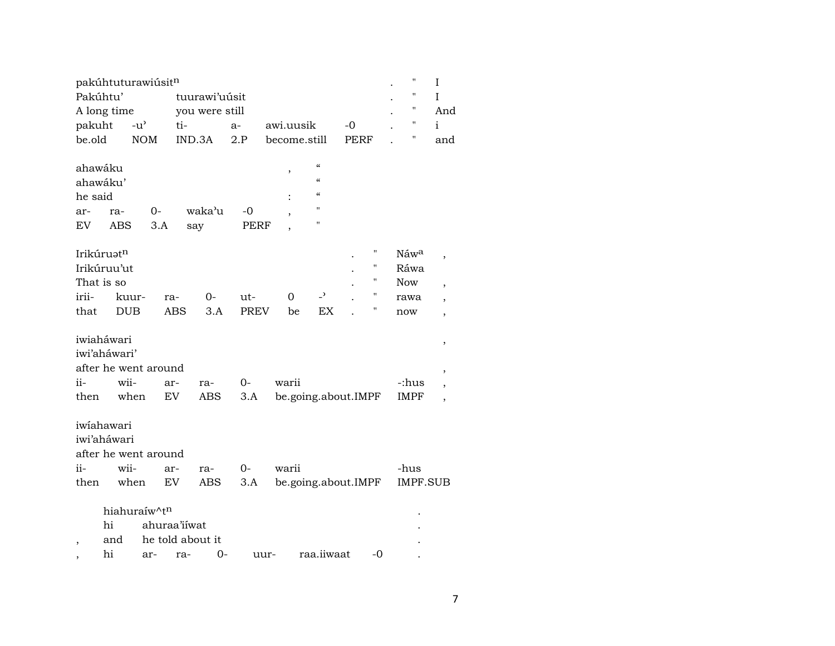| pakúhtuturawiúsitn       |                           |               |              |            |                  |               |      |              |                          | $\pmb{\mathsf{H}}$ | I  |                |                          |
|--------------------------|---------------------------|---------------|--------------|------------|------------------|---------------|------|--------------|--------------------------|--------------------|----|----------------|--------------------------|
| Pakúhtu'                 |                           |               |              |            |                  | tuurawi'uusit |      |              |                          |                    |    |                | I                        |
| A long time              |                           |               |              |            | you were still   |               |      |              |                          |                    |    | $\blacksquare$ | And                      |
| pakuht                   |                           | $-u^{\prime}$ |              | ti-        |                  | a-            |      | awi.uusik    |                          | -0                 |    | "              | $\mathbf{i}$             |
| be.old                   |                           | <b>NOM</b>    |              | IND.3A     |                  | 2.P           |      | become.still |                          | PERF               |    | "              | and                      |
|                          |                           |               |              |            |                  |               |      |              |                          |                    |    |                |                          |
| ahawáku                  |                           |               |              |            |                  |               |      |              | $\epsilon\epsilon$       |                    |    |                |                          |
| ahawáku'                 |                           |               |              |            |                  |               |      |              | $\epsilon\epsilon$       |                    |    |                |                          |
| he said                  |                           |               |              |            |                  |               |      |              | $\alpha$                 |                    |    |                |                          |
| ar-                      | ra-                       |               | 0-           |            | waka'u           | $-0$          |      |              | $\mathbf{H}$             |                    |    |                |                          |
| EV                       | <b>ABS</b>                |               | 3.A          | say        |                  | PERF          |      |              | н                        |                    |    |                |                          |
|                          |                           |               |              |            |                  |               |      |              |                          |                    |    |                |                          |
|                          | Irikúruatn<br>Irikúruu'ut |               |              |            |                  |               |      |              |                          |                    | н  | Náwa           | ,                        |
|                          |                           |               |              |            |                  |               |      |              |                          |                    | 11 | Ráwa           |                          |
|                          | That is so                |               |              |            |                  |               |      |              | $\overline{\phantom{0}}$ |                    | П  | Now            | ,                        |
| irii-                    |                           | kuur-         | ra-          |            | 0-               | ut-           |      | 0            |                          |                    | Η  | rawa           | $\overline{\phantom{a}}$ |
| that                     |                           | <b>DUB</b>    |              | <b>ABS</b> | 3.A              | <b>PREV</b>   |      | be           | EX                       |                    |    | now            | $\overline{\phantom{a}}$ |
|                          | iwiaháwari                |               |              |            |                  |               |      |              |                          |                    |    |                |                          |
|                          | iwi'aháwari'              |               |              |            |                  |               |      |              |                          |                    |    |                | $\, ,$                   |
|                          | after he went around      |               |              |            |                  |               |      |              |                          |                    |    |                |                          |
| ii-                      | wii-                      |               | ar-          |            | ra-              | 0-            |      | warii        |                          |                    |    | -:hus          | ,                        |
| then                     |                           | when          | EV           |            | ABS              | 3.A           |      |              | be.going.about.IMPF      |                    |    | <b>IMPF</b>    |                          |
|                          |                           |               |              |            |                  |               |      |              |                          |                    |    |                | ,                        |
|                          | iwiahawari                |               |              |            |                  |               |      |              |                          |                    |    |                |                          |
|                          | iwi'aháwari               |               |              |            |                  |               |      |              |                          |                    |    |                |                          |
|                          | after he went around      |               |              |            |                  |               |      |              |                          |                    |    |                |                          |
| ii-                      | wii-                      |               | ar-          |            | ra-              | $0-$          |      | warii        |                          |                    |    | -hus           |                          |
| then                     |                           | when          | EV.          |            | ABS              | 3.A           |      |              | be.going.about.IMPF      |                    |    | IMPF.SUB       |                          |
|                          |                           |               |              |            |                  |               |      |              |                          |                    |    |                |                          |
|                          |                           |               | hiahuraíw^tn |            |                  |               |      |              |                          |                    |    |                |                          |
|                          | hi                        |               | ahuraa'iiwat |            |                  |               |      |              |                          |                    |    |                |                          |
| $\overline{\phantom{a}}$ | and                       |               |              |            | he told about it |               |      |              |                          |                    |    |                |                          |
|                          | hi                        |               | ar-          | ra-        | 0-               |               | uur- |              | raa.iiwaat               |                    | -0 |                |                          |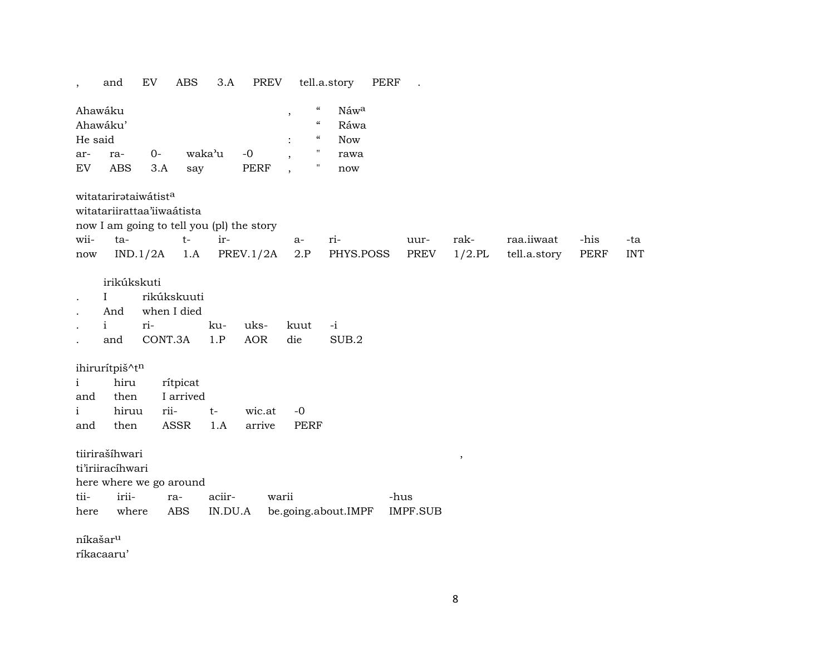$EV$ ABS 3.A PREV tell.a.story PERF and  $\mathbb{Z}^2$  $\overline{\phantom{a}}$ 

| Ahawáku |          |       |        |      |         | "          | Náw <sup>a</sup> |
|---------|----------|-------|--------|------|---------|------------|------------------|
|         | Ahawáku' |       |        |      |         | "          | Ráwa             |
| He said |          |       |        |      | $\cdot$ | $\epsilon$ | Now              |
| ar-     | ra-      | $O -$ | waka'u | $-0$ | ٠       |            | rawa             |
| EV      | ABS      | 3.A   | say    | PERF |         |            | now              |

witatarirətaiwátist<sup>a</sup>

witatariirattaa'iiwaátista

now I am going to tell you (pl) the story

|  | wii- ta- t- ir- a- ri- |                                                                            |  | uur- rak-  raa.iiwaat -his -ta |  |
|--|------------------------|----------------------------------------------------------------------------|--|--------------------------------|--|
|  |                        | now IND.1/2A 1.A PREV.1/2A 2.P PHYS.POSS PREV 1/2.PL tell.a.story PERF INT |  |                                |  |

- irikúkskuti
- $\mathbf{I}$ rikúkskuuti  $\cdot$
- when I died And  $\sim$

|  |                               |  | ku- uks- kuut -i |  |
|--|-------------------------------|--|------------------|--|
|  | and CONT.3A 1.P AOR die SUB.2 |  |                  |  |

ihirurítpiš^tn

| $\mathbf{i}$ | hiru rítpicat  |                           |  |
|--------------|----------------|---------------------------|--|
| and          | then I arrived |                           |  |
|              |                | i hiruu rii- t- wic.at -0 |  |
| and          |                | then ASSR 1.A arrive PERF |  |

tiirirašíhwari

ti'iriiracíhwari

here where we go around

| tii- | irii- | ra- | $AC111 -$ | warii                                               | -hus |
|------|-------|-----|-----------|-----------------------------------------------------|------|
|      |       |     |           | here where ABS IN.DU.A be.going.about.IMPF IMPF.SUB |      |

níkašar<sup>u</sup>

ríkacaaru'

 $\overline{\phantom{a}}$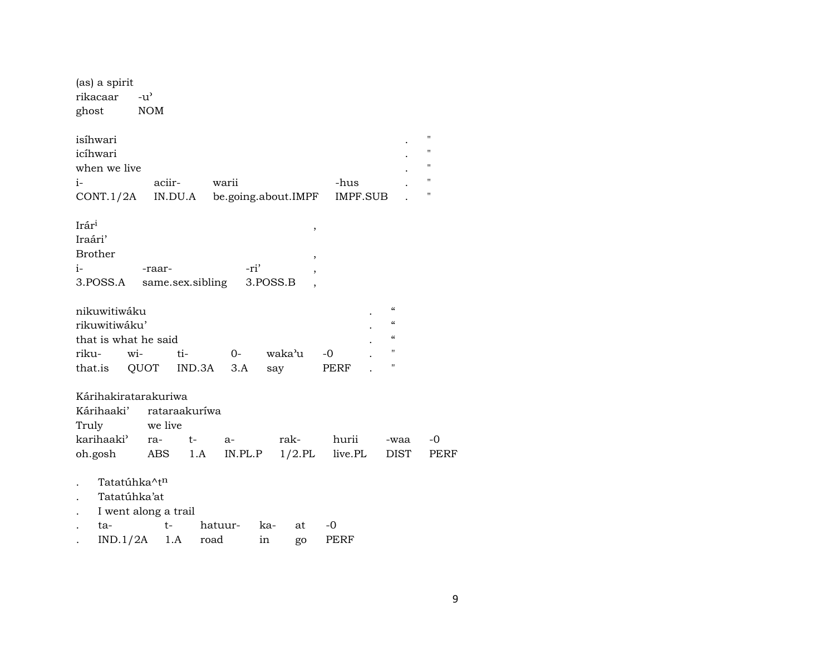| (as) a spirit<br>rikacaar                                   | $-u'$      |                  |         |                     |                 |                                                                                                                            |                         |
|-------------------------------------------------------------|------------|------------------|---------|---------------------|-----------------|----------------------------------------------------------------------------------------------------------------------------|-------------------------|
| ghost                                                       | <b>NOM</b> |                  |         |                     |                 |                                                                                                                            |                         |
| isíhwari<br>icíhwari                                        |            |                  |         |                     |                 |                                                                                                                            | н<br>11<br>$\mathbf{H}$ |
| when we live                                                |            |                  |         |                     |                 |                                                                                                                            | $\pmb{\mathsf{H}}$      |
| $i-$                                                        |            | aciir-           | warii   |                     | -hus            |                                                                                                                            | $\pmb{\mathsf{H}}$      |
| CONT.1/2A                                                   |            | IN.DU.A          |         | be.going.about.IMPF | <b>IMPF.SUB</b> |                                                                                                                            |                         |
| Irár <sup>i</sup><br>Iraári'                                |            |                  |         | ,                   |                 |                                                                                                                            |                         |
| <b>Brother</b>                                              |            |                  |         | $^\mathrm{,}$       |                 |                                                                                                                            |                         |
| $i-$                                                        | -raar-     |                  | -ri'    | ,                   |                 |                                                                                                                            |                         |
| 3.POSS.A                                                    |            | same.sex.sibling |         | 3.POSS.B            |                 |                                                                                                                            |                         |
| nikuwitiwáku<br>rikuwitiwáku'<br>that is what he said       |            |                  |         |                     |                 | $\boldsymbol{\zeta}\boldsymbol{\zeta}$<br>$\boldsymbol{\zeta}\boldsymbol{\zeta}$<br>$\boldsymbol{\zeta}\boldsymbol{\zeta}$ |                         |
| riku-                                                       | $W$ i-     | ti-              | $O-$    | waka'u              | -0              | $\pmb{\mathsf{H}}$                                                                                                         |                         |
| that.is                                                     | QUOT       | IND.3A           | 3.A     | say                 | PERF            | $\pmb{\mathsf{H}}$                                                                                                         |                         |
| Kárihakiratarakuriwa<br>Kárihaaki'<br>Truly                 | we live    | rataraakuríwa    |         |                     |                 |                                                                                                                            |                         |
| karihaaki'                                                  | ra-        | $t-$             | $a-$    | rak-                | hurii           | -waa                                                                                                                       | -0                      |
| oh.gosh                                                     | ABS        | 1.A              | IN.PL.P | $1/2$ .PL           | live.PL         | <b>DIST</b>                                                                                                                | PERF                    |
| Tatatúhka^tn<br>Tatatúhka'at<br>I went along a trail<br>ta- | t-         |                  | hatuur- | ka-<br>at           | $-0$            |                                                                                                                            |                         |
|                                                             |            |                  |         |                     |                 |                                                                                                                            |                         |

. IND.1/2A 1.A road in go PERF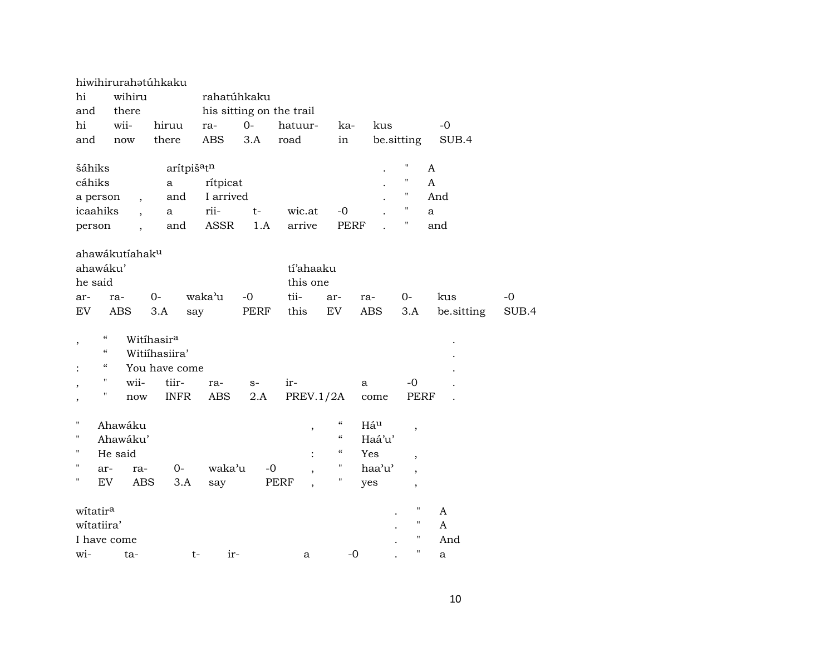|                                                      | hiwihirurahatúhkaku        |                         |                       |      |                          |                            |                 |                          |              |       |
|------------------------------------------------------|----------------------------|-------------------------|-----------------------|------|--------------------------|----------------------------|-----------------|--------------------------|--------------|-------|
| hi                                                   | wihiru                     |                         | rahatúhkaku           |      |                          |                            |                 |                          |              |       |
| and                                                  | there                      |                         |                       |      | his sitting on the trail |                            |                 |                          |              |       |
| hi                                                   | wii-                       | hiruu                   | ra-                   | $0-$ | hatuur-                  | ka-                        | kus             |                          | $-0$         |       |
| and                                                  | now                        | there                   | <b>ABS</b>            | 3.A  | road                     | in                         |                 | be.sitting               | SUB.4        |       |
|                                                      |                            |                         |                       |      |                          |                            |                 |                          |              |       |
| šáhiks                                               |                            | arítpiš <sup>a</sup> tn |                       |      |                          |                            |                 | 11                       | A            |       |
| cáhiks                                               |                            | $\mathbf a$             | rítpicat              |      |                          |                            |                 | $\pmb{\mathsf{H}}$       | $\mathbf{A}$ |       |
| a person                                             | $\overline{\phantom{a}}$   | and                     | I arrived             |      |                          |                            |                 | $\pmb{\mathsf{H}}$       | And          |       |
| icaahiks                                             | $\overline{\phantom{a}}$   | a                       | rii-                  | t-   | wic.at                   | $-0$                       |                 | $\pmb{\mathsf{H}}$       | a            |       |
| person                                               |                            | and                     | $\operatorname{ASSR}$ | 1.A  | arrive                   | <b>PERF</b>                |                 | $\pmb{\mathsf{H}}$       | and          |       |
|                                                      |                            |                         |                       |      |                          |                            |                 |                          |              |       |
|                                                      | ahawákutíahak <sup>u</sup> |                         |                       |      |                          |                            |                 |                          |              |       |
| ahawáku'                                             |                            |                         |                       |      | tí'ahaaku                |                            |                 |                          |              |       |
| he said                                              |                            |                         |                       |      | this one                 |                            |                 |                          |              |       |
| ar-                                                  | ra-                        | $0-$                    | waka'u                | $-0$ | tii-                     | ar-                        | ra-             | $0-$                     | kus          | -0    |
| EV                                                   | <b>ABS</b>                 | 3.A<br>say              |                       | PERF | this                     | EV                         | ABS             | 3.A                      | be.sitting   | SUB.4 |
|                                                      |                            |                         |                       |      |                          |                            |                 |                          |              |       |
| $\mathcal{C}\mathcal{C}$<br>$\overline{\phantom{a}}$ |                            | Witihasir <sup>a</sup>  |                       |      |                          |                            |                 |                          |              |       |
| $\boldsymbol{\mathcal{C}}$                           |                            | Witiihasiira'           |                       |      |                          |                            |                 |                          |              |       |
| $\boldsymbol{\mathcal{C}}$                           |                            | You have come           |                       |      |                          |                            |                 |                          |              |       |
| н.<br>$\cdot$                                        | wii-                       | tiir-                   | ra-                   | $S-$ | ir-                      |                            | a               | $-0$                     |              |       |
| н.<br>,                                              | now                        | <b>INFR</b>             | ABS                   | 2.A  | PREV.1/2A                |                            | come            | PERF                     |              |       |
|                                                      |                            |                         |                       |      |                          |                            |                 |                          |              |       |
| $\pmb{\mathsf{H}}$                                   | Ahawáku                    |                         |                       |      | $\, ,$                   | $\mathcal{C}\mathcal{C}$   | Há <sup>u</sup> | $\, ,$                   |              |       |
| "                                                    | Ahawáku'                   |                         |                       |      |                          | $\boldsymbol{\mathcal{U}}$ | Haá'u'          |                          |              |       |
| $^{\prime\prime}$                                    | He said                    |                         |                       |      | $\ddot{\cdot}$           | $\boldsymbol{\mathcal{C}}$ | Yes             | $\overline{\phantom{a}}$ |              |       |
| $\pmb{\mathsf{H}}$<br>ar-                            | ra-                        | $0-$                    | waka'u                | $-0$ |                          | $\pmb{\mathsf{H}}$         | haa'u'          | $\overline{\phantom{a}}$ |              |       |
| "<br>EV                                              | ABS                        | 3.A                     | say                   |      | PERF                     | 11                         | yes             | $\overline{\phantom{a}}$ |              |       |
|                                                      |                            |                         |                       |      |                          |                            |                 |                          |              |       |
| witatira                                             |                            |                         |                       |      |                          |                            |                 | $\pmb{\mathsf{H}}$       | A            |       |
| witatiira'                                           |                            |                         |                       |      |                          |                            |                 | $\pmb{\mathsf{H}}$       | A            |       |
| I have come                                          |                            |                         |                       |      |                          |                            |                 | $\pmb{\mathsf{H}}$       | And          |       |
| wi-                                                  | ta-                        | $t-$                    | ir-                   |      | a                        | $-0$                       |                 | $\pmb{\mathsf{H}}$       | a            |       |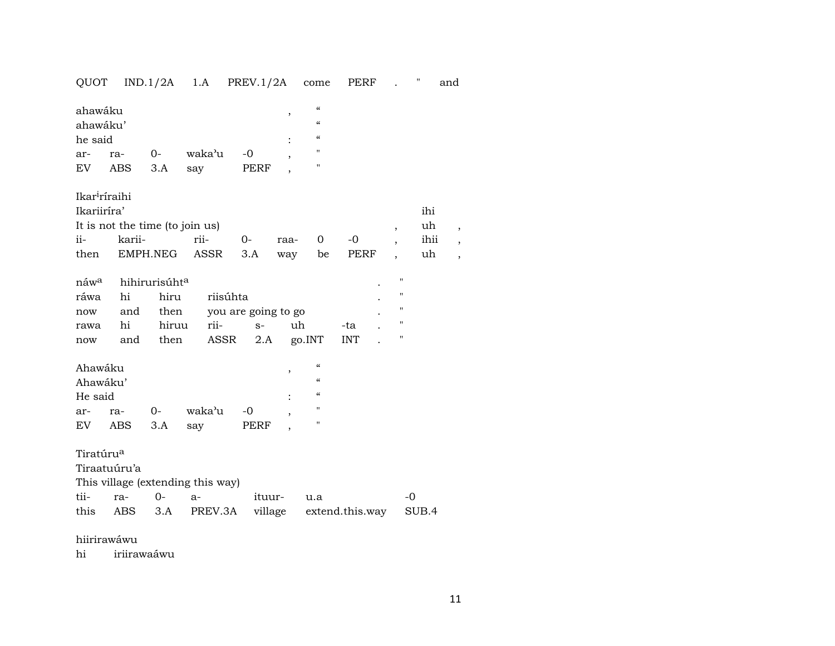## QUOT IND.1/2A 1.A PREV.1/2A come PERF . " and

| ahawáku |                           |      |            |      | ,         | $\epsilon$     |  |
|---------|---------------------------|------|------------|------|-----------|----------------|--|
|         | ahawáku'                  |      | $\epsilon$ |      |           |                |  |
| he said |                           |      |            |      | $\bullet$ | $\epsilon$     |  |
| ar-     | ra-                       | $O-$ | waka'u     | -0   |           | $\mathbf{H}$   |  |
| EV      | ABS 3.A                   |      | say        | PERF |           | $\blacksquare$ |  |
|         |                           |      |            |      |           |                |  |
|         | Ikar <sup>i</sup> ríraihi |      |            |      |           |                |  |

|                                       | Ikariiríra'<br>ihi              |  |  |              |  |  |  |      |  |  |  |  |  |
|---------------------------------------|---------------------------------|--|--|--------------|--|--|--|------|--|--|--|--|--|
| It is not the time (to join us)<br>uh |                                 |  |  |              |  |  |  |      |  |  |  |  |  |
|                                       | ii- karii- rii-                 |  |  | 0- raa- 0 -0 |  |  |  | ihii |  |  |  |  |  |
| then                                  | EMPH.NEG ASSR 3.A way be PERF , |  |  |              |  |  |  | uh   |  |  |  |  |  |

| náw <sup>a</sup> hihirurisúht <sup>a</sup> |                                  |  |                                |       | $\bullet$ |   |
|--------------------------------------------|----------------------------------|--|--------------------------------|-------|-----------|---|
|                                            | ráwa hi hiru riisúhta            |  |                                |       |           | " |
|                                            | now and then you are going to go |  |                                |       |           | " |
|                                            | rawa hi hiruu rii- s-            |  | uh                             | -ta - |           |   |
| now                                        |                                  |  | and then ASSR 2.A go.INT INT . |       |           |   |

| Ahawáku  |     |      |        |      |   | $\epsilon$ |
|----------|-----|------|--------|------|---|------------|
| Ahawáku' |     |      |        |      |   | $\epsilon$ |
| He said  |     |      |        |      | ٠ | $\epsilon$ |
| ar-      | ra- | $O-$ | waka'u | $-0$ |   | п          |
| EV       | ABS | 3.A  | sav    | PERF |   | п          |

Tiratúru°

Tiraatuúru'a

This village (extending this way)

|  | tii- ra- 0- a- ituur- u.a |                                                    |  |
|--|---------------------------|----------------------------------------------------|--|
|  |                           | this ABS 3.A PREV.3A village extend.this.way SUB.4 |  |

hiirirawáwu

hi iriirawaáwu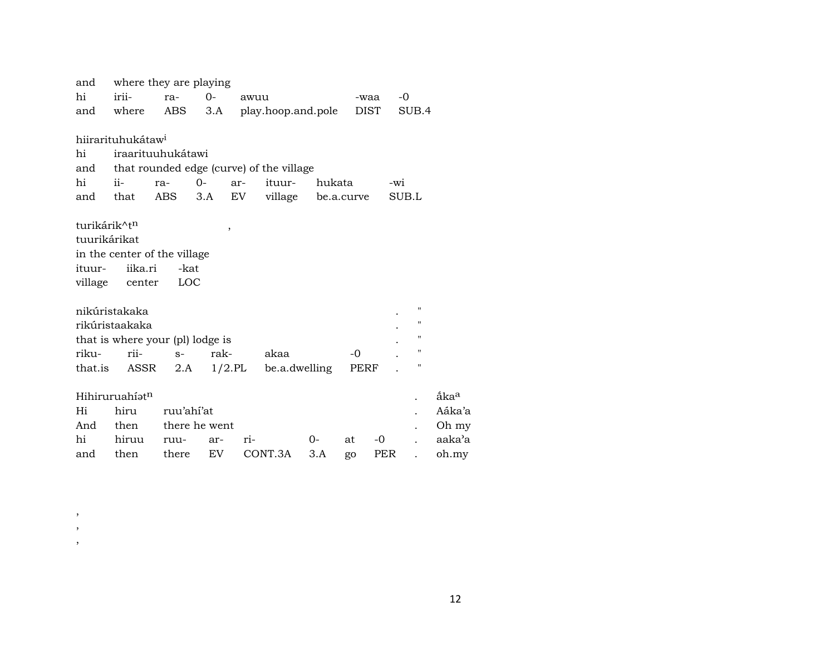| and                                                                   | where they are playing                                                                                                                   |                            |           |      |                                          |            |                     |     |                       |                  |
|-----------------------------------------------------------------------|------------------------------------------------------------------------------------------------------------------------------------------|----------------------------|-----------|------|------------------------------------------|------------|---------------------|-----|-----------------------|------------------|
| hi                                                                    | irii-                                                                                                                                    | ra-                        | $0 -$     | awuu |                                          |            | -waa                |     | $-0$                  |                  |
| and                                                                   | where                                                                                                                                    | ABS                        | 3.A       |      | play.hoop.and.pole                       |            | DIST                |     | SUB.4                 |                  |
|                                                                       | hiirarituhukátaw <sup>i</sup>                                                                                                            |                            |           |      |                                          |            |                     |     |                       |                  |
| hi                                                                    | iraarituuhukátawi                                                                                                                        |                            |           |      |                                          |            |                     |     |                       |                  |
| and                                                                   |                                                                                                                                          |                            |           |      | that rounded edge (curve) of the village |            |                     |     |                       |                  |
| hi                                                                    | ii-                                                                                                                                      | ra-                        | $0-$      | ar-  | ituur-                                   | hukata     |                     | -wi |                       |                  |
| and                                                                   | that                                                                                                                                     | ABS                        | 3.A       | EV   | village                                  | be.a.curve |                     |     | SUB.L                 |                  |
| turikárik^tn<br>tuurikárikat<br>ituur-<br>village<br>riku-<br>that.is | in the center of the village<br>iika.ri<br>center<br>nikúristakaka<br>rikúristaakaka<br>that is where your (pl) lodge is<br>rii-<br>ASSR | -kat<br>LOC<br>$S-$<br>2.A | ,<br>rak- |      | akaa<br>$1/2$ .PL be.a.dwelling          |            | $-0$<br><b>PERF</b> |     | п<br>п<br>п<br>п<br>п |                  |
|                                                                       | Hihiruruahíat <sup>n</sup>                                                                                                               |                            |           |      |                                          |            |                     |     |                       | åka <sup>a</sup> |
| Hi                                                                    | hiru                                                                                                                                     | ruu'ahí'at                 |           |      |                                          |            |                     |     |                       | Aáka'a           |
| And                                                                   | then                                                                                                                                     | there he went              |           |      |                                          |            |                     |     |                       | Oh my            |
| hi                                                                    | hiruu                                                                                                                                    | ruu-                       | ar-       | ri-  |                                          | 0-         | at                  | -0  |                       | aaka'a           |
| and                                                                   | then                                                                                                                                     | there                      | <b>EV</b> |      | CONT.3A                                  | 3.A        | go                  | PER |                       | oh.my            |

 $\,$  $\overline{\phantom{a}}$  $\overline{\phantom{a}}$ 

12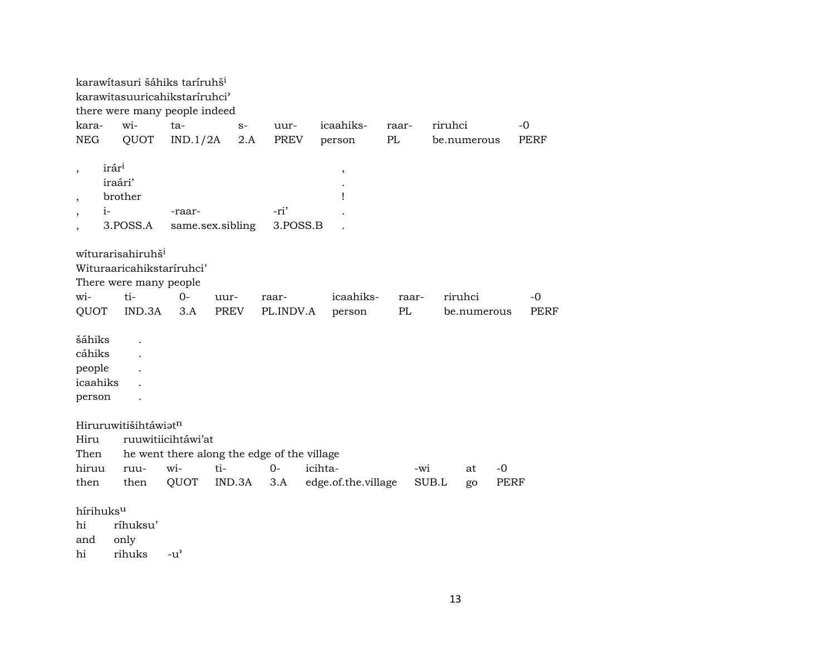karawítasuri šáhiks taríruhš<sup>i</sup> karawitasuuricahikstaríruhci" there were many people indeed kara- wi- ta- s- uur- icaahiks- raar- riruhci -0 NEG QUOT IND.1/2A 2.A PREV person PL be.numerous PERF  $,\qquad$  irár $^{1}$ iraári' . , brother ! , i- -raar- -ri' . , 3.POSS.A same.sex.sibling 3.POSS.B . wíturarisahiruhš<sup>i</sup> Wituraaricahikstaríruhci' There were many people wi- ti- 0- uur- raar- icaahiks- raar- riruhci -0 QUOT IND.3A 3.A PREV PL.INDV.A person PL be.numerous PERF šáhiks . cáhiks . people . icaahiks . person . Hiruruwitišihtáwiat<sup>n</sup> Hiru ruuwitiicihtáwi'at Then he went there along the edge of the village hiruu ruu- wi- ti- 0- icihta- -wi at -0 then then QUOT IND.3A 3.A edge.of.the.village SUB.L go PERF hírihuks<sup>u</sup> hi ríhuksu' and only hi rihuks -u"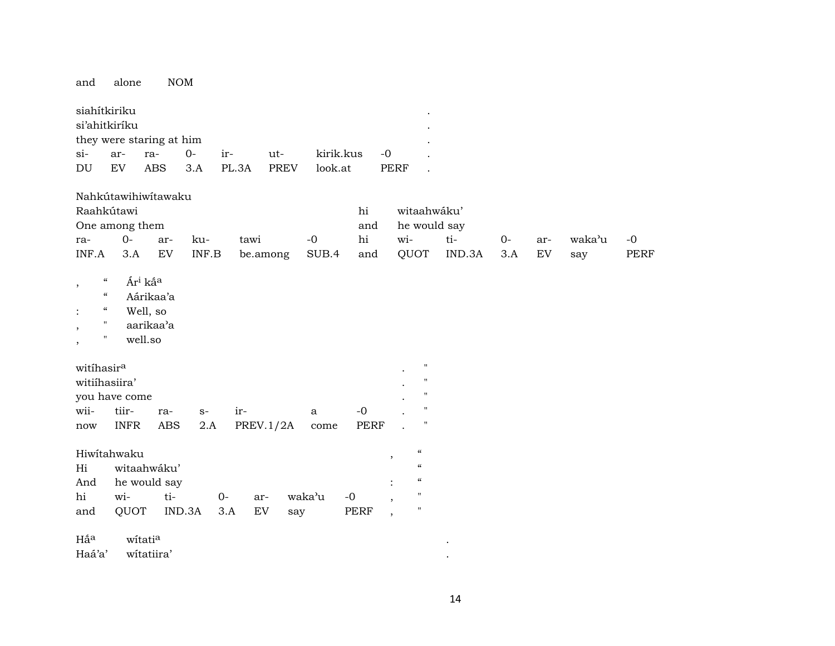| and                                                                                                                                                                             | alone                                                     |                        | <b>NOM</b>   |              |                         |             |               |                        |                     |                                                                                                              |               |             |                   |               |                     |
|---------------------------------------------------------------------------------------------------------------------------------------------------------------------------------|-----------------------------------------------------------|------------------------|--------------|--------------|-------------------------|-------------|---------------|------------------------|---------------------|--------------------------------------------------------------------------------------------------------------|---------------|-------------|-------------------|---------------|---------------------|
| siahítkiriku<br>si'ahitkiríku<br>$si$ -<br>DU                                                                                                                                   | they were staring at him<br>ar-<br>EV                     | ra-<br><b>ABS</b>      | $0-$<br>3.A  | ir-<br>PL.3A | ut-                     | <b>PREV</b> | look.at       | kirik.kus              | $-0$<br><b>PERF</b> |                                                                                                              |               |             |                   |               |                     |
| Raahkútawi<br>ra-<br>INF.A                                                                                                                                                      | Nahkútawihiwítawaku<br>One among them<br>$O -$<br>3.A     | ar-<br>EV              | ku-<br>INF.B |              | tawi<br>be.among        |             | $-0$<br>SUB.4 | hi<br>and<br>hi<br>and |                     | witaahwáku'<br>he would say<br>wi-<br>QUOT                                                                   | ti-<br>IND.3A | $0-$<br>3.A | ar-<br>${\rm EV}$ | waka'u<br>say | $-0$<br><b>PERF</b> |
| $\boldsymbol{\mathcal{C}}$<br>$\, ,$<br>$\mathcal{C}\mathcal{C}$<br>$\epsilon\epsilon$<br>$\ddot{\cdot}$<br>$\pmb{\mathsf{H}}$<br>$\, ,$<br>$\pmb{\mathsf{H}}$<br>$^\mathrm{,}$ | Ár <sup>i</sup> ká <sup>a</sup><br>Well, so<br>well.so    | Aárikaa'a<br>aarikaa'a |              |              |                         |             |               |                        |                     |                                                                                                              |               |             |                   |               |                     |
| witihasir <sup>a</sup><br>witiihasiira'<br>wii-<br>now                                                                                                                          | you have come<br>tiir-<br><b>INFR</b>                     | ra-<br><b>ABS</b>      | $S-$<br>2.A  |              | ir-<br><b>PREV.1/2A</b> |             | a<br>come     | $-0$<br><b>PERF</b>    |                     | $\pmb{\mathsf{H}}$<br>$\mathbf{H}$<br>$\mathbf H$<br>$\mathbf{H}$<br>$\pmb{\mathsf{H}}$                      |               |             |                   |               |                     |
| Hi<br>And<br>hi<br>and                                                                                                                                                          | Hiwitahwaku<br>witaahwáku'<br>he would say<br>wi-<br>QUOT | ti-                    | IND.3A       | $0-$<br>3.A  | ar-<br>${\rm EV}$       | say         | waka'u        | $-0$<br><b>PERF</b>    | ,                   | $\mathcal{C}\mathcal{C}$<br>$\boldsymbol{\mathcal{C}}$<br>$\zeta\zeta$<br>$\mathbf{H}$<br>$\pmb{\mathsf{H}}$ |               |             |                   |               |                     |
| Hấ <sup>a</sup><br>Haá'a'                                                                                                                                                       | witatia                                                   | witatiira'             |              |              |                         |             |               |                        |                     |                                                                                                              |               |             |                   |               |                     |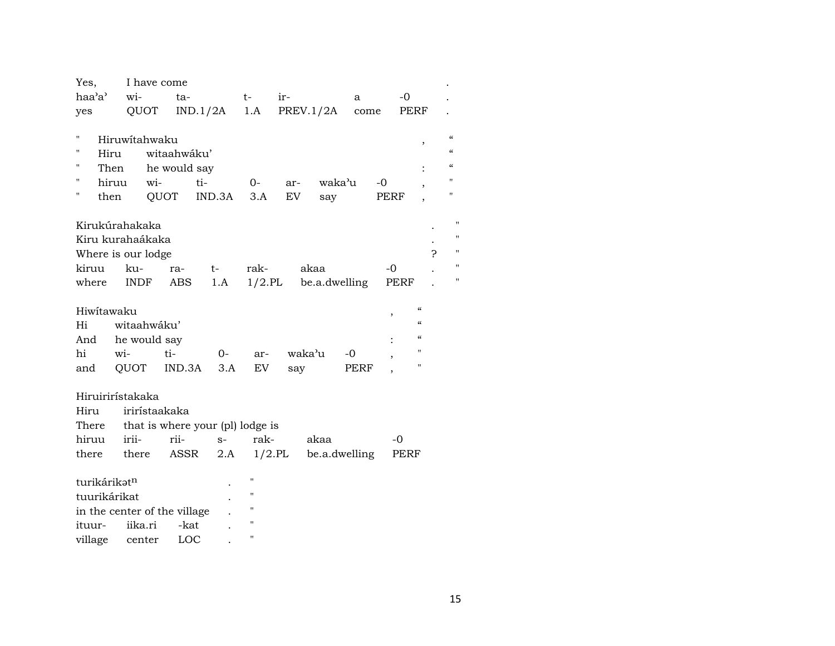| wi-<br>haa'a'<br>ir-<br>$-0$<br>$t-$<br>ta-<br>a<br>QUOT<br>1.A<br>PREV.1/2A<br>IND.1/2A<br>PERF<br>yes<br>come<br>П<br>Hiruwitahwaku<br>,<br>н<br>witaahwáku'<br>Hiru<br>н<br>Then<br>he would say<br>н<br>wi-<br>ti-<br>waka'u<br>hiruu<br>$0-$<br>-0<br>ar-<br>П<br>QUOT<br>IND.3A<br>EV<br>then<br>3.A<br>PERF<br>say<br>Kirukúrahakaka<br>Kiru kurahaákaka<br>?<br>Where is our lodge<br>kiruu<br>ku-<br>rak-<br>akaa<br>$-0$<br>ra-<br>$t-$<br>$1/2$ .PL<br><b>INDF</b><br><b>ABS</b><br>be.a.dwelling<br>where<br>1.A<br>PERF<br>$\mathcal{C}\mathcal{C}$<br>Hiwitawaku<br>,<br>$\mathcal{C}$<br>witaahwáku'<br>Hi<br>$\mathcal{C}$<br>he would say<br>And<br>н<br>hi<br>wi-<br>waka'u<br>ti-<br>0-<br>-0<br>ar-<br>$\pmb{\mathsf{H}}$<br>QUOT<br>IND.3A<br>3.A<br>EV<br>PERF<br>and<br>say<br>Hiruirirístakaka<br>irirístaakaka<br>Hiru<br>that is where your (pl) lodge is<br>There<br>hiruu<br>irii-<br>rii-<br>rak-<br>akaa<br>$S-$<br>-0 |                                                                                                              |
|------------------------------------------------------------------------------------------------------------------------------------------------------------------------------------------------------------------------------------------------------------------------------------------------------------------------------------------------------------------------------------------------------------------------------------------------------------------------------------------------------------------------------------------------------------------------------------------------------------------------------------------------------------------------------------------------------------------------------------------------------------------------------------------------------------------------------------------------------------------------------------------------------------------------------------------------------|--------------------------------------------------------------------------------------------------------------|
|                                                                                                                                                                                                                                                                                                                                                                                                                                                                                                                                                                                                                                                                                                                                                                                                                                                                                                                                                      |                                                                                                              |
|                                                                                                                                                                                                                                                                                                                                                                                                                                                                                                                                                                                                                                                                                                                                                                                                                                                                                                                                                      |                                                                                                              |
|                                                                                                                                                                                                                                                                                                                                                                                                                                                                                                                                                                                                                                                                                                                                                                                                                                                                                                                                                      | $\mathcal{C}\mathcal{C}$<br>$\boldsymbol{\zeta}\boldsymbol{\zeta}$<br>$\boldsymbol{\zeta}\boldsymbol{\zeta}$ |
|                                                                                                                                                                                                                                                                                                                                                                                                                                                                                                                                                                                                                                                                                                                                                                                                                                                                                                                                                      | $\mathbf{H}$                                                                                                 |
|                                                                                                                                                                                                                                                                                                                                                                                                                                                                                                                                                                                                                                                                                                                                                                                                                                                                                                                                                      | $\mathbf H$                                                                                                  |
|                                                                                                                                                                                                                                                                                                                                                                                                                                                                                                                                                                                                                                                                                                                                                                                                                                                                                                                                                      | Ħ<br>Ħ<br>11<br>Ħ<br>11                                                                                      |
|                                                                                                                                                                                                                                                                                                                                                                                                                                                                                                                                                                                                                                                                                                                                                                                                                                                                                                                                                      |                                                                                                              |
| there<br>ASSR<br>$1/2$ .PL<br>be.a.dwelling<br>there<br>2.A<br>PERF                                                                                                                                                                                                                                                                                                                                                                                                                                                                                                                                                                                                                                                                                                                                                                                                                                                                                  |                                                                                                              |
| $\mathbf{H}$<br>turikárikatn<br>п<br>tuurikárikat<br>Н<br>in the center of the village<br>н<br>iika.ri<br>-kat<br>ituur-<br>П<br>village<br>LOC<br>center                                                                                                                                                                                                                                                                                                                                                                                                                                                                                                                                                                                                                                                                                                                                                                                            |                                                                                                              |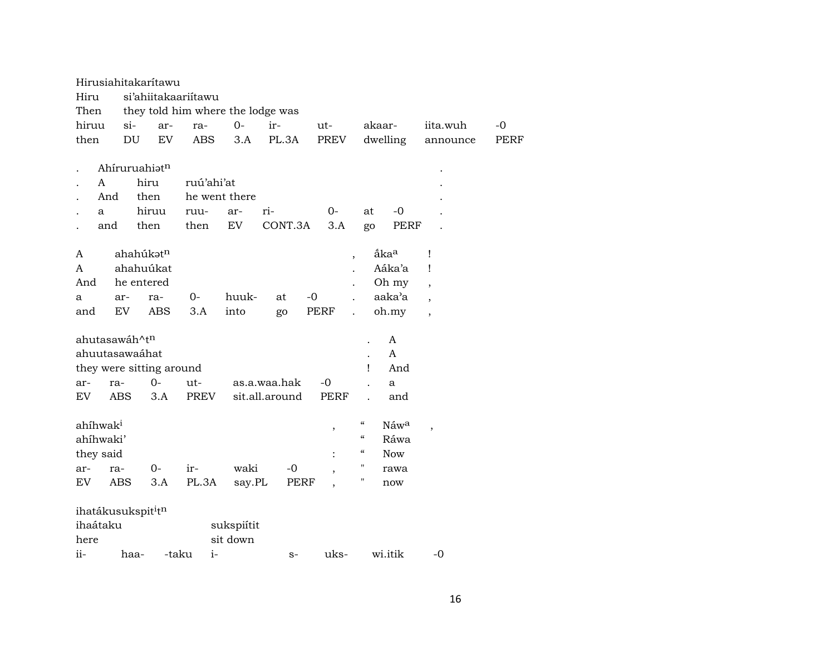|       |                      |               | Hirusiahitakarítawu                        |                          |                                   |                |      |                |                            |                  |                          |             |
|-------|----------------------|---------------|--------------------------------------------|--------------------------|-----------------------------------|----------------|------|----------------|----------------------------|------------------|--------------------------|-------------|
| Hiru  |                      |               |                                            | si'ahiitakaariitawu      |                                   |                |      |                |                            |                  |                          |             |
| Then  |                      |               |                                            |                          | they told him where the lodge was |                |      |                |                            |                  |                          |             |
| hiruu |                      | $\sin$        | ar-                                        | ra-                      | $0-$                              | ir-            |      | $ut-$          | akaar-                     |                  | iita.wuh                 | $-0$        |
| then  |                      | DU            | EV                                         | <b>ABS</b>               | 3.A                               | PL.3A          |      | PREV           |                            | dwelling         | announce                 | <b>PERF</b> |
|       |                      |               |                                            |                          |                                   |                |      |                |                            |                  |                          |             |
|       |                      |               | Ahíruruahiatn                              |                          |                                   |                |      |                |                            |                  |                          |             |
|       | A                    |               | hiru                                       |                          | ruú'ahi'at                        |                |      |                |                            |                  |                          |             |
|       | And                  |               | then                                       |                          | he went there                     |                |      |                |                            |                  |                          |             |
|       | a                    |               | hiruu                                      | ruu-                     | ar-                               | ri-            |      | $0-$           | at                         | $-0$             |                          |             |
|       | and                  |               | then                                       | then                     | ${\rm EV}$                        | CONT.3A        |      | 3.A            | go                         | <b>PERF</b>      |                          |             |
|       |                      |               |                                            |                          |                                   |                |      |                |                            |                  |                          |             |
| A     |                      |               | ahahúkət <sup>n</sup>                      |                          |                                   |                |      |                | $\cdot$                    | åka <sup>a</sup> | Ţ                        |             |
| A     |                      |               | ahahuúkat                                  |                          |                                   |                |      |                |                            | Aáka'a           | Ţ                        |             |
| And   |                      |               | he entered                                 |                          |                                   |                |      |                |                            | Oh my            | $\overline{ }$           |             |
| a     |                      | ar-           | ra-                                        | $0-$                     | huuk-                             | at             | $-0$ |                |                            | aaka'a           | $\overline{\phantom{a}}$ |             |
| and   |                      | <b>EV</b>     | <b>ABS</b>                                 | 3.A                      | into                              | go             | PERF |                | $\ddot{\phantom{a}}$       | oh.my            | $\overline{\phantom{a}}$ |             |
|       |                      |               |                                            |                          |                                   |                |      |                |                            |                  |                          |             |
|       |                      | ahutasawáh^tn |                                            |                          |                                   |                |      |                |                            | A                |                          |             |
|       |                      |               | ahuutasawaáhat                             |                          |                                   |                |      |                |                            | A                |                          |             |
|       |                      |               |                                            | they were sitting around |                                   |                |      |                | Ţ                          | And              |                          |             |
| ar-   |                      | ra-           | $0-$                                       | ut-                      |                                   | as.a.waa.hak   |      | $-0$           |                            | a                |                          |             |
| EV    |                      | <b>ABS</b>    | 3.A                                        | PREV                     |                                   | sit.all.around |      | <b>PERF</b>    |                            | and              |                          |             |
|       |                      |               |                                            |                          |                                   |                |      |                |                            |                  |                          |             |
|       | ahíhwak <sup>i</sup> |               |                                            |                          |                                   |                |      | $\,$           | $\boldsymbol{\mathcal{C}}$ | Náwa             | $\overline{\phantom{a}}$ |             |
|       | ahíhwaki'            |               |                                            |                          |                                   |                |      |                | $\boldsymbol{\mathcal{C}}$ | Ráwa             |                          |             |
|       | they said            |               |                                            |                          |                                   |                |      | $\ddot{\cdot}$ | $\epsilon\epsilon$         | <b>Now</b>       |                          |             |
| ar-   |                      | ra-           | $0-$                                       | ir-                      | waki                              | $-0$           |      |                | Н                          | rawa             |                          |             |
| EV    |                      | ABS           | 3.A                                        | PL.3A                    | say.PL                            |                | PERF |                | $\pmb{\mathsf{H}}$         | now              |                          |             |
|       |                      |               |                                            |                          |                                   |                |      |                |                            |                  |                          |             |
|       |                      |               | ihatákusukspit <sup>i</sup> t <sup>n</sup> |                          |                                   |                |      |                |                            |                  |                          |             |
|       | ihaátaku             |               |                                            |                          | sukspiítit                        |                |      |                |                            |                  |                          |             |
| here  |                      |               |                                            |                          | sit down                          |                |      |                |                            |                  |                          |             |
| ii-   |                      | haa-          |                                            | -taku                    | $i-$                              |                | $S-$ | uks-           |                            | wi.itik          | $-0$                     |             |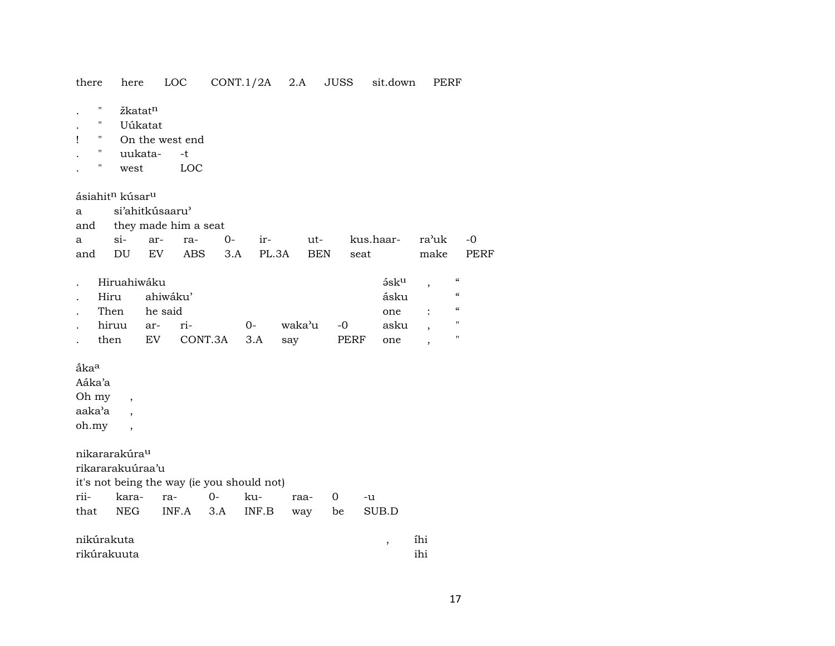there here LOC CONT.1/2A 2.A JUSS sit.down PERF

žkatat<sup>n</sup>  $\mathbf{u}$  $\ddot{\phantom{a}}$ 

 $\cdot$ 

- Uúkatat  $\mathbf{H}$
- On the west end  $\sim 0$  .  $\mathbf{I}$
- uukata- $\mathbf{H}$  $-t$  $\ddot{\phantom{a}}$
- LOC west  $\mathbf{u}$  $\mathcal{L}^{\pm}$

ásiahit<sup>n</sup> kúsar<sup>u</sup>

si'ahitkúsaaru'  $\mathbf{a}$ 

they made him a seat and

|  |  |  | a si- ar- ra- 0- ir- ut- kus.haar- ra'uk -0 |  |
|--|--|--|---------------------------------------------|--|
|  |  |  | and DU EV ABS 3.A PL.3A BEN seat make PERF  |  |

| . Hiruahiwáku   |                                     |  | ə́sk <sup>u</sup> . | $\epsilon\epsilon$ |
|-----------------|-------------------------------------|--|---------------------|--------------------|
| . Hiru ahiwáku' |                                     |  | ásku                | "                  |
| . Then he-said  |                                     |  | one : "             |                    |
|                 | hiruu ar- ri-      0-  waka'u -0  . |  | asku .              | п                  |
| then            | EV CONT.3A 3.A say PERF             |  | one                 |                    |

ắka<sup>a</sup>

Aáka'a

Oh my

aaka'a

oh.my  $\overline{\phantom{a}}$ 

nikararakúra<sup>u</sup>

rikararakuúraa'u talen saint de a traine de la

 $\overline{\phantom{a}}$ 

 $\overline{\phantom{a}}$ 

|  |  | it's not being the way (ie you should not) |  |
|--|--|--------------------------------------------|--|
|  |  |                                            |  |

|  |  | rii- kara- ra- 0- ku- raa- 0 -u       |  |  |
|--|--|---------------------------------------|--|--|
|  |  | that NEG INF.A 3.A INF.B way be SUB.D |  |  |

| nikúrakuta  | $\sim$ $\sim$<br>1h1 |
|-------------|----------------------|
| rikúrakuuta | 1h1                  |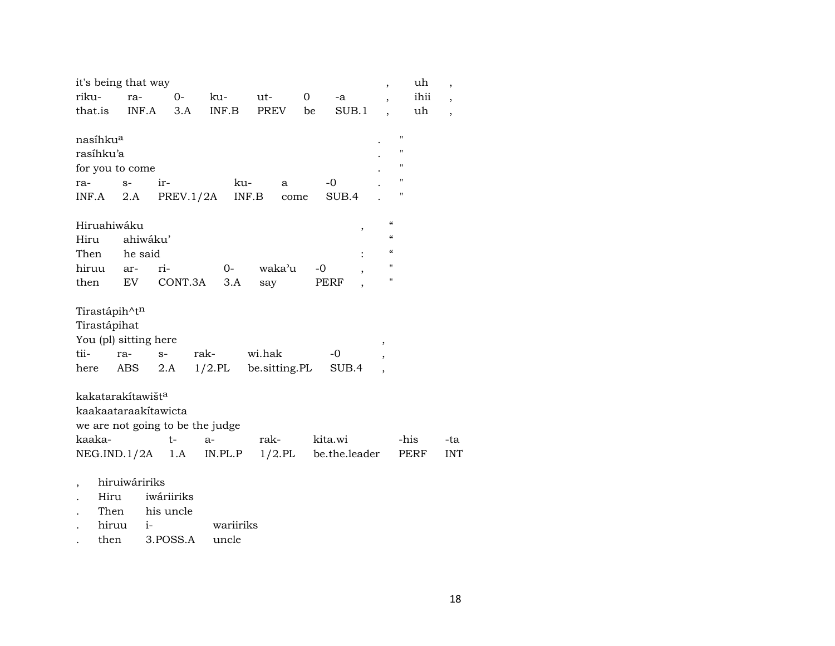| it's being that way           |               |            |                                  |           |              |               | $\overline{ }$           | uh   | $\overline{\phantom{a}}$ |
|-------------------------------|---------------|------------|----------------------------------|-----------|--------------|---------------|--------------------------|------|--------------------------|
| riku-                         | ra-           | $0-$       | ku-                              | ut-       | $\mathbf{0}$ | -a            |                          | ihii | $\overline{\phantom{a}}$ |
| that.is                       | INF.A         | 3.A        | INF.B                            | PREV      | be           | SUB.1         |                          | uh   | $\overline{\phantom{a}}$ |
|                               |               |            |                                  |           |              |               |                          |      |                          |
| nasíhku <sup>a</sup>          |               |            |                                  |           |              |               | $^{\prime\prime}$        |      |                          |
| rasíhku'a                     |               |            |                                  |           |              |               | П                        |      |                          |
| for you to come               |               |            |                                  |           |              |               | "                        |      |                          |
| ra-                           | $S-$          | ir-        |                                  | ku-<br>а  |              | -0            | $\pmb{\mathsf{H}}$       |      |                          |
| INF.A                         | 2.A           |            | PREV.1/2A                        | INF.B     | come         | SUB.4         | 11                       |      |                          |
| Hiruahiwáku                   |               |            |                                  |           |              |               | $\mathcal{C}$            |      |                          |
| Hiru                          | ahiwáku'      |            |                                  |           |              | ,             | $\mathcal{C}\mathcal{C}$ |      |                          |
| Then                          | he said       |            |                                  |           |              |               | $\mathcal{C}$            |      |                          |
| hiruu                         | ar-           | ri-        | $O-$                             | waka'u    | $-0$         |               | $\pmb{\mathsf{H}}$       |      |                          |
| then                          | EV            | CONT.3A    | 3.A                              | say       |              | PERF          | $\pmb{\mathsf{H}}$       |      |                          |
|                               |               |            |                                  |           |              |               |                          |      |                          |
| Tirastápih^tn                 |               |            |                                  |           |              |               |                          |      |                          |
| Tirastápihat                  |               |            |                                  |           |              |               |                          |      |                          |
| You (pl) sitting here         |               |            |                                  |           |              |               | ,                        |      |                          |
| tii-                          | ra-           | $S-$       | rak-                             | wi.hak    |              | -0            |                          |      |                          |
| here                          | ABS           | 2.A        | $1/2$ .PL be.sitting.PL          |           |              | SUB.4         |                          |      |                          |
|                               |               |            |                                  |           |              |               |                          |      |                          |
| kakatarakítawišt <sup>a</sup> |               |            |                                  |           |              |               |                          |      |                          |
| kaakaataraakítawicta          |               |            |                                  |           |              |               |                          |      |                          |
|                               |               |            | we are not going to be the judge |           |              |               |                          |      |                          |
| kaaka-                        |               | t-         | $a-$                             | rak-      |              | kita.wi       |                          | -his | -ta                      |
| NEG.ID.1/2A 1.A               |               |            | IN.PL.P                          | $1/2$ .PL |              | be.the.leader |                          | PERF | <b>INT</b>               |
|                               |               |            |                                  |           |              |               |                          |      |                          |
|                               |               |            |                                  |           |              |               |                          |      |                          |
|                               | hiruiwáririks |            |                                  |           |              |               |                          |      |                          |
| Hiru                          |               | iwáriiriks |                                  |           |              |               |                          |      |                          |

- hiruu iwariiriks  $\mathcal{A}$
- then 3.POSS.A uncle  $\mathcal{L}^{\pm}$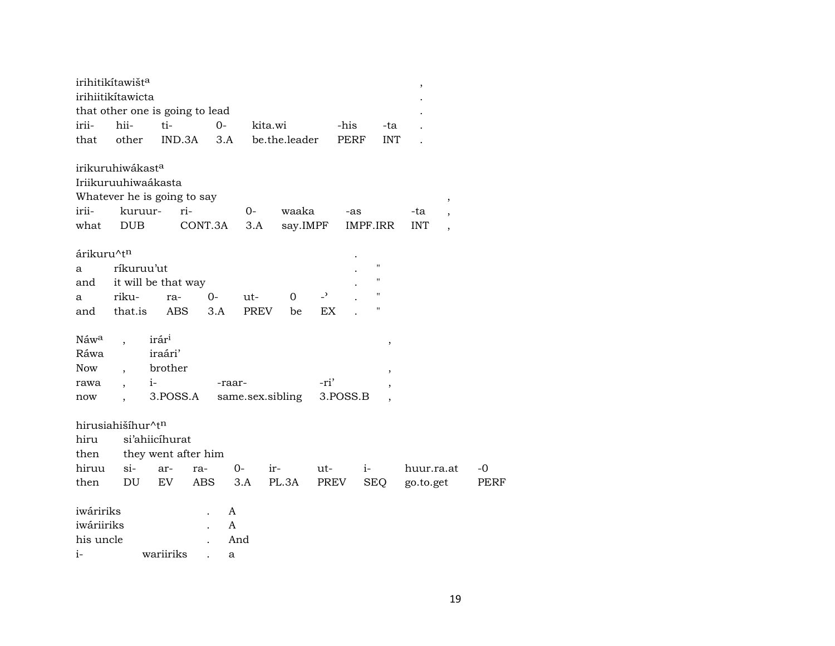|                                              | irihitikítawišt <sup>a</sup><br>irihiitikítawicta<br>that other one is going to lead                        |                                                     |             |                  |                   |                          |             |                                    |                                                                                     |      |
|----------------------------------------------|-------------------------------------------------------------------------------------------------------------|-----------------------------------------------------|-------------|------------------|-------------------|--------------------------|-------------|------------------------------------|-------------------------------------------------------------------------------------|------|
| irii-                                        | hii-                                                                                                        | ti-                                                 | $O -$       | kita.wi          |                   |                          | -his        | -ta                                |                                                                                     |      |
| that                                         | other                                                                                                       | IND.3A                                              | 3.A         |                  | be.the.leader     |                          | <b>PERF</b> | <b>INT</b>                         |                                                                                     |      |
| irii-<br>what                                | irikuruhiwákast <sup>a</sup><br>Iriikuruuhiwaákasta<br>Whatever he is going to say<br>kuruur-<br><b>DUB</b> | ri-                                                 | CONT.3A     | 0-<br>3.A        | waaka<br>say.IMPF |                          | -as         | IMPF.IRR                           | $\, ,$<br>-ta<br>$\overline{\phantom{a}}$<br><b>INT</b><br>$\overline{\phantom{a}}$ |      |
| árikuru^tn                                   |                                                                                                             |                                                     |             |                  |                   |                          |             |                                    |                                                                                     |      |
| a                                            | ríkuruu'ut                                                                                                  |                                                     |             |                  |                   |                          |             | $\pmb{\mathsf{H}}$                 |                                                                                     |      |
| and                                          |                                                                                                             | it will be that way                                 |             |                  |                   |                          |             | $\pmb{\mathsf{H}}$                 |                                                                                     |      |
| a                                            | riku-                                                                                                       | ra-                                                 | $0-$        | ut-              | 0                 | $\overline{\phantom{a}}$ |             | н                                  |                                                                                     |      |
| and                                          | that.is                                                                                                     | ABS                                                 | 3.A         | <b>PREV</b>      | be                | EX                       |             | Н                                  |                                                                                     |      |
| Náwa<br>Ráwa<br><b>Now</b><br>rawa<br>now    | $i-$<br>$\ddot{\phantom{0}}$                                                                                | irár <sup>i</sup><br>iraári'<br>brother<br>3.POSS.A | -raar-      | same.sex.sibling |                   | -ri'                     | 3.POSS.B    | $\, ,$<br>$\overline{\phantom{a}}$ |                                                                                     |      |
|                                              | hirusiahišíhur^tn                                                                                           |                                                     |             |                  |                   |                          |             |                                    |                                                                                     |      |
| hiru                                         |                                                                                                             | si'ahiicíhurat                                      |             |                  |                   |                          |             |                                    |                                                                                     |      |
| then                                         |                                                                                                             | they went after him                                 |             |                  |                   |                          |             |                                    |                                                                                     |      |
| hiruu                                        | $\sin$                                                                                                      | ar-                                                 | ra-         | $0-$<br>ir-      |                   | ut-                      | $i-$        |                                    | huur.ra.at                                                                          | $-0$ |
| then                                         | DU                                                                                                          | EV.                                                 | ABS         | 3.A              | PL.3A             | PREV                     |             | <b>SEQ</b>                         | go.to.get                                                                           | PERF |
| iwáririks<br>iwáriiriks<br>his uncle<br>$i-$ |                                                                                                             | wariiriks                                           | A<br>A<br>a | And              |                   |                          |             |                                    |                                                                                     |      |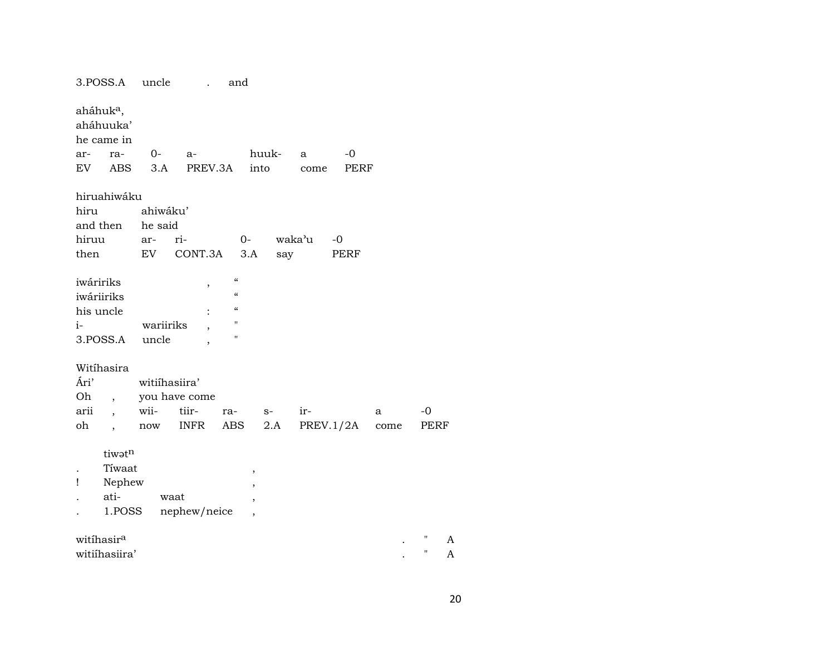| aháhuk <sup>a</sup> ,<br>aháhuuka'<br>he came in<br>$O-$<br>huuk-<br>$-0$<br>ar-<br>ra-<br>a-<br>a<br>EV<br>ABS<br>3.A<br>PREV.3A<br>into<br>PERF<br>come<br>hiruahiwáku<br>hiru<br>ahiwáku'<br>and then<br>he said<br>hiruu<br>waka'u<br>ri-<br>$0-$<br>-0<br>ar-<br>CONT.3A<br>then<br>EV<br>3.A<br>say<br>PERF<br>$\boldsymbol{\zeta}\boldsymbol{\zeta}$<br>iwáririks<br>$\,$<br>$\boldsymbol{\mathcal{C}}$<br>iwáriiriks<br>$\zeta\zeta$<br>his uncle<br>$\pmb{\mathsf{H}}$<br>wariiriks<br>$i-$<br>$\pmb{\mathsf{H}}$<br>3.POSS.A<br>uncle<br>Witihasira<br>Ári'<br>witiihasiira'<br>Oh<br>you have come<br>$\overline{\phantom{a}}$<br>arii<br>wii-<br>tiir-<br>ir-<br>-0<br>ra-<br>$S-$<br>a<br>$\overline{\phantom{a}}$<br>oh<br><b>INFR</b><br>ABS<br>2.A<br>PREV.1/2A<br>PERF<br>$\operatorname{now}$<br>come<br>$\overline{\phantom{a}}$<br>tiwatn<br>Tiwaat<br>,<br>Nephew<br>Ţ<br>$\, ,$<br>ati-<br>waat<br>,<br>nephew/neice<br>1.POSS<br>$\overline{ }$ | 3.POSS.A | uncle | and |  |  |  |
|------------------------------------------------------------------------------------------------------------------------------------------------------------------------------------------------------------------------------------------------------------------------------------------------------------------------------------------------------------------------------------------------------------------------------------------------------------------------------------------------------------------------------------------------------------------------------------------------------------------------------------------------------------------------------------------------------------------------------------------------------------------------------------------------------------------------------------------------------------------------------------------------------------------------------------------------------------------------|----------|-------|-----|--|--|--|
|                                                                                                                                                                                                                                                                                                                                                                                                                                                                                                                                                                                                                                                                                                                                                                                                                                                                                                                                                                        |          |       |     |  |  |  |
|                                                                                                                                                                                                                                                                                                                                                                                                                                                                                                                                                                                                                                                                                                                                                                                                                                                                                                                                                                        |          |       |     |  |  |  |
|                                                                                                                                                                                                                                                                                                                                                                                                                                                                                                                                                                                                                                                                                                                                                                                                                                                                                                                                                                        |          |       |     |  |  |  |
|                                                                                                                                                                                                                                                                                                                                                                                                                                                                                                                                                                                                                                                                                                                                                                                                                                                                                                                                                                        |          |       |     |  |  |  |
|                                                                                                                                                                                                                                                                                                                                                                                                                                                                                                                                                                                                                                                                                                                                                                                                                                                                                                                                                                        |          |       |     |  |  |  |
|                                                                                                                                                                                                                                                                                                                                                                                                                                                                                                                                                                                                                                                                                                                                                                                                                                                                                                                                                                        |          |       |     |  |  |  |
|                                                                                                                                                                                                                                                                                                                                                                                                                                                                                                                                                                                                                                                                                                                                                                                                                                                                                                                                                                        |          |       |     |  |  |  |
|                                                                                                                                                                                                                                                                                                                                                                                                                                                                                                                                                                                                                                                                                                                                                                                                                                                                                                                                                                        |          |       |     |  |  |  |
|                                                                                                                                                                                                                                                                                                                                                                                                                                                                                                                                                                                                                                                                                                                                                                                                                                                                                                                                                                        |          |       |     |  |  |  |
|                                                                                                                                                                                                                                                                                                                                                                                                                                                                                                                                                                                                                                                                                                                                                                                                                                                                                                                                                                        |          |       |     |  |  |  |
|                                                                                                                                                                                                                                                                                                                                                                                                                                                                                                                                                                                                                                                                                                                                                                                                                                                                                                                                                                        |          |       |     |  |  |  |
| witíhasir <sup>a</sup><br>A                                                                                                                                                                                                                                                                                                                                                                                                                                                                                                                                                                                                                                                                                                                                                                                                                                                                                                                                            |          |       |     |  |  |  |
| $\mathbf{H}$<br>witiihasiira'<br>A                                                                                                                                                                                                                                                                                                                                                                                                                                                                                                                                                                                                                                                                                                                                                                                                                                                                                                                                     |          |       |     |  |  |  |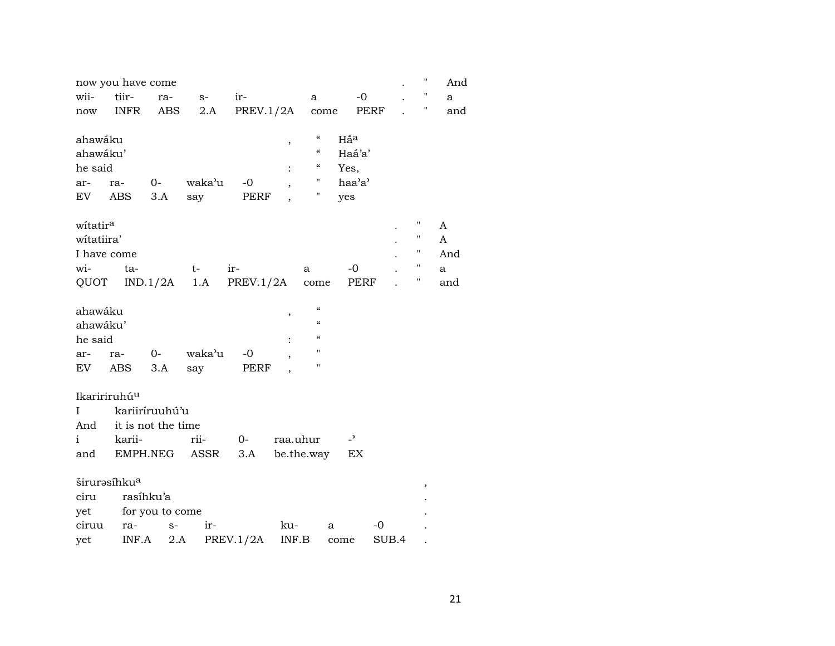|                      | now you have come        |                    |                |                |                          |                                        |                          |       | 11                 | And |
|----------------------|--------------------------|--------------------|----------------|----------------|--------------------------|----------------------------------------|--------------------------|-------|--------------------|-----|
| wii-                 | tiir-                    | ra-                | $S-$           | ir-            |                          | a                                      | $-0$                     |       | н                  | a   |
| now                  | <b>INFR</b>              | ABS                | 2.A            | PREV.1/2A come |                          |                                        | PERF                     |       | Π                  | and |
|                      |                          |                    |                |                |                          |                                        |                          |       |                    |     |
| ahawáku              |                          |                    |                |                | $\,$                     | $\epsilon\epsilon$                     | Hấ <sup>a</sup>          |       |                    |     |
| ahawáku'             |                          |                    |                |                |                          | $\epsilon\epsilon$                     | Haá'a'                   |       |                    |     |
| he said              |                          |                    |                |                |                          | 4                                      | Yes,                     |       |                    |     |
| ar-                  | ra-                      | $O-$               | waka'u         | $-0$           |                          | $\pmb{\pi}$                            | haa'a'                   |       |                    |     |
| EV                   | ABS                      | 3.A                | say            | PERF           | $\overline{\phantom{a}}$ | Н                                      | yes                      |       |                    |     |
|                      |                          |                    |                |                |                          |                                        |                          |       |                    |     |
| witatir <sup>a</sup> |                          |                    |                |                |                          |                                        |                          |       | Η                  | A   |
| witatiira'           |                          |                    |                |                |                          |                                        |                          |       | $\pmb{\mathsf{H}}$ | A   |
|                      | I have come              |                    |                |                |                          |                                        |                          |       | Η                  | And |
| wi-                  | ta-                      |                    | $t-$           | ir-            |                          | a                                      | -0                       |       | Η                  | a   |
| QUOT                 |                          |                    | $IND.1/2A$ 1.A | PREV.1/2A      |                          | $_{\rm{come}}$                         | PERF                     |       | Η                  | and |
| ahawáku              |                          |                    |                |                |                          | $\boldsymbol{\zeta}\boldsymbol{\zeta}$ |                          |       |                    |     |
| ahawáku'             |                          |                    |                |                | ,                        | $\epsilon\epsilon$                     |                          |       |                    |     |
|                      |                          |                    |                |                |                          | $\pmb{\zeta}\pmb{\zeta}$               |                          |       |                    |     |
| he said              |                          |                    |                |                | $\ddot{\cdot}$           | $\pmb{\mathsf{H}}$                     |                          |       |                    |     |
| ar-                  | ra-                      | $0-$               | waka'u         | $-0$           |                          | $\pmb{\mathsf{H}}$                     |                          |       |                    |     |
| EV                   | ABS                      | 3.A                | say            | PERF           |                          |                                        |                          |       |                    |     |
|                      | Ikaririruhú <sup>u</sup> |                    |                |                |                          |                                        |                          |       |                    |     |
| L                    |                          | kariiríruuhú'u     |                |                |                          |                                        |                          |       |                    |     |
| And                  |                          | it is not the time |                |                |                          |                                        |                          |       |                    |     |
| $\mathbf{i}$         | karii-                   |                    | rii-           | $0-$           | raa.uhur                 |                                        | $\overline{\phantom{0}}$ |       |                    |     |
| and                  |                          | EMPH.NEG           | ASSR           | 3.A            |                          | be.the.way                             | EX                       |       |                    |     |
|                      |                          |                    |                |                |                          |                                        |                          |       |                    |     |
|                      | širurəsihku <sup>a</sup> |                    |                |                |                          |                                        |                          |       | ,                  |     |
| ciru                 |                          | rasíhku'a          |                |                |                          |                                        |                          |       |                    |     |
| yet                  |                          | for you to come    |                |                |                          |                                        |                          |       |                    |     |
| ciruu                | ra-                      | $S-$               | ir-            |                | ku-                      |                                        | a                        | $-0$  |                    |     |
| yet                  | INF.A                    | 2.A                |                | PREV.1/2A      | INF.B                    |                                        | come                     | SUB.4 |                    |     |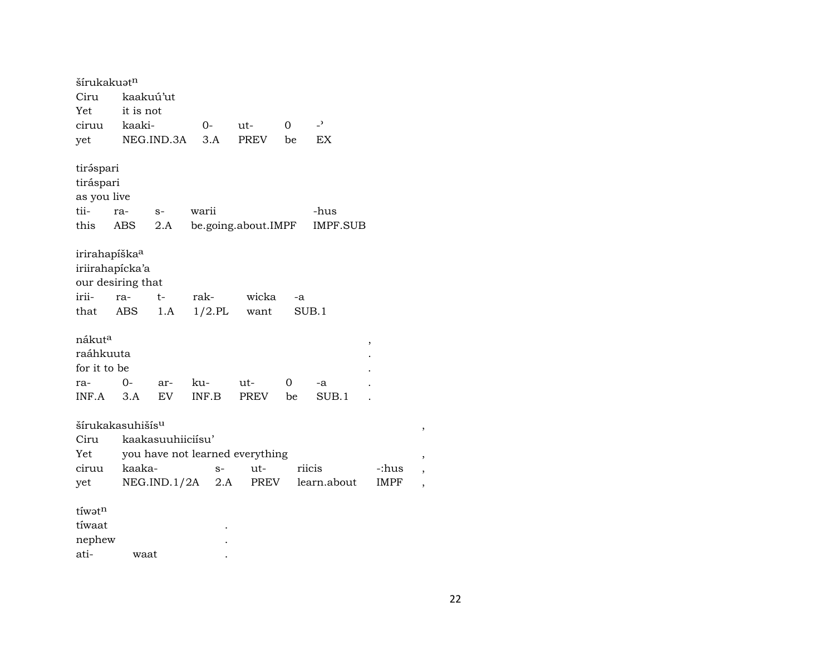| šírukakuət <sup>n</sup>      |           |                   |           |                                 |    |                 |             |
|------------------------------|-----------|-------------------|-----------|---------------------------------|----|-----------------|-------------|
| Ciru                         |           | kaakuú'ut         |           |                                 |    |                 |             |
| Yet                          | it is not |                   |           |                                 |    |                 |             |
| ciruu                        | kaaki-    |                   | 0-        | ut-                             | 0  | $\overline{a}$  |             |
| yet                          |           | NEG.IND.3A        | 3.A       | <b>PREV</b>                     | be | <b>EX</b>       |             |
|                              |           |                   |           |                                 |    |                 |             |
| tiráspari                    |           |                   |           |                                 |    |                 |             |
| tiráspari                    |           |                   |           |                                 |    |                 |             |
| as you live                  |           |                   |           |                                 |    |                 |             |
| tii-                         | ra-       | $S-$              | warii     |                                 |    | -hus            |             |
| this                         | ABS       | 2.A               |           | be.going.about.IMPF             |    | <b>IMPF.SUB</b> |             |
|                              |           |                   |           |                                 |    |                 |             |
| irirahapíška <sup>a</sup>    |           |                   |           |                                 |    |                 |             |
| iriirahapícka'a              |           |                   |           |                                 |    |                 |             |
| our desiring that            |           |                   |           |                                 |    |                 |             |
| irii-                        | ra-       | $t-$              | rak-      | wicka                           | -a |                 |             |
| that                         | ABS       | 1.A               | $1/2$ .PL | want                            |    | SUB.1           |             |
|                              |           |                   |           |                                 |    |                 |             |
| nákut <sup>a</sup>           |           |                   |           |                                 |    |                 | ,           |
| raáhkuuta                    |           |                   |           |                                 |    |                 |             |
| for it to be                 |           |                   |           |                                 |    |                 |             |
| ra-                          | $0-$      | ar-               | ku-       | ut-                             | 0  | -a              |             |
| INF.A                        | 3.A       | EV                | INF.B     | PREV                            | be | SUB.1           |             |
|                              |           |                   |           |                                 |    |                 |             |
| šírukakasuhišís <sup>u</sup> |           |                   |           |                                 |    |                 |             |
| Ciru                         |           | kaakasuuhiiciisu' |           |                                 |    |                 |             |
| Yet                          |           |                   |           | you have not learned everything |    |                 |             |
| ciruu                        | kaaka-    |                   | $S-$      | ut-                             |    | riicis          | -:hus       |
| yet                          |           | NEG.IND.1/2A      | 2.A       | PREV                            |    | learn.about     | <b>IMPF</b> |
|                              |           |                   |           |                                 |    |                 |             |
| tíwatn                       |           |                   |           |                                 |    |                 |             |
| tíwaat                       |           |                   |           |                                 |    |                 |             |
| nephew                       |           |                   |           |                                 |    |                 |             |
| ati-                         | waat      |                   |           |                                 |    |                 |             |

 $22$ 

 $\rightarrow$ 

 $\rightarrow$ 

 $\overline{\phantom{a}}$ 

 $\cdot$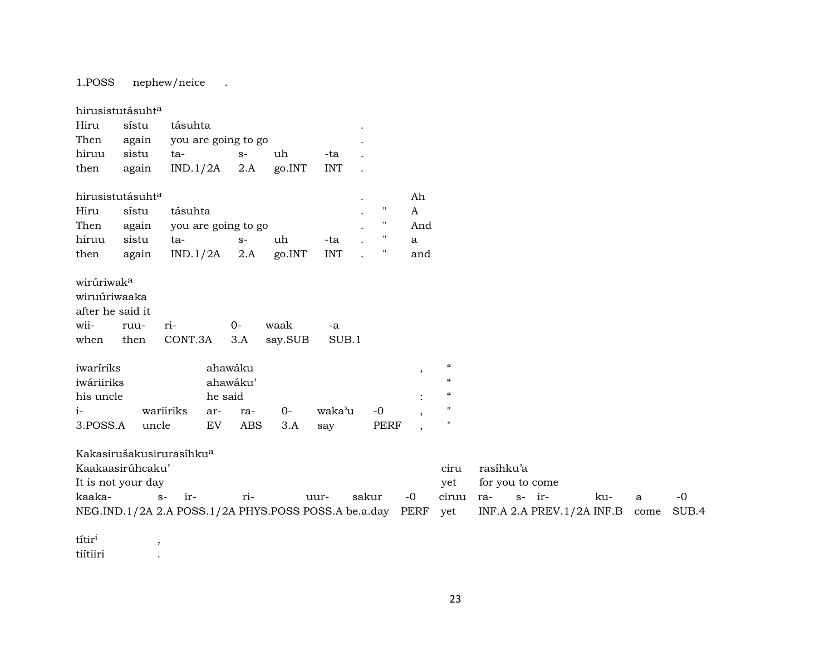1.POSS nephew/neice .

| hirusistutásuht <sup>a</sup>                                                    |           |                     |         |              |                 |               |      |                          |                                                                                          |
|---------------------------------------------------------------------------------|-----------|---------------------|---------|--------------|-----------------|---------------|------|--------------------------|------------------------------------------------------------------------------------------|
| Hiru                                                                            | sístu     | tásuhta             |         |              |                 |               |      |                          |                                                                                          |
| Then again                                                                      |           | you are going to go |         |              |                 |               |      |                          |                                                                                          |
| hiruu                                                                           | sistu     | ta-                 |         | $S-$         | uh              | -ta           |      |                          |                                                                                          |
| then                                                                            | again     | $IND.1/2A$ 2.A      |         |              | go.INT          | <b>INT</b>    |      |                          |                                                                                          |
| hirusistutásuht <sup>a</sup>                                                    |           |                     |         |              |                 |               |      | Ah                       |                                                                                          |
| Hiru                                                                            | sístu     | tásuhta             |         |              |                 |               | "    | A                        |                                                                                          |
| Then again you are going to go                                                  |           |                     |         |              |                 |               | 11   | And                      |                                                                                          |
| hiruu                                                                           | sistu     | ta-                 |         | $S-$         | uh              | -ta           | 11   | a                        |                                                                                          |
| then                                                                            | again     | $IND.1/2A$ 2.A      |         |              | go.INT          | <b>INT</b>    | π    | and                      |                                                                                          |
|                                                                                 |           |                     |         |              |                 |               |      |                          |                                                                                          |
| wirúriwak <sup>a</sup><br>wiruúriwaaka<br>after he said it<br>wii-<br>when then | ruu-      | ri-<br>CONT.3A      |         | $0 -$<br>3.A | waak<br>say.SUB | $-a$<br>SUB.1 |      |                          |                                                                                          |
|                                                                                 |           |                     |         | ahawáku      |                 |               |      | $\overline{\phantom{a}}$ |                                                                                          |
| iwaríriks<br>iwáriiriks                                                         |           |                     |         | ahawáku'     |                 |               |      |                          |                                                                                          |
| his uncle                                                                       |           |                     | he said |              |                 |               |      |                          |                                                                                          |
| $i-$                                                                            | wariiriks |                     | ar-     | ra-          | $0-$            | waka'u        | $-0$ | $\overline{ }$           | $\epsilon$<br>$\boldsymbol{\mathcal{C}}$<br>$\boldsymbol{\mathcal{C}}$<br>$\blacksquare$ |

|                                                                                                    | Kaakaasirúhcaku'   |  |          |      |          |  |  |                   | rasihku'a |                     |     |       |
|----------------------------------------------------------------------------------------------------|--------------------|--|----------|------|----------|--|--|-------------------|-----------|---------------------|-----|-------|
|                                                                                                    | It is not your day |  |          |      |          |  |  |                   |           | yet for you to come |     |       |
| kaaka-                                                                                             | $s-$ ir-           |  | $r_{1-}$ | uur- | sakur -0 |  |  | ciruu ra-  s- ir- |           |                     | ku- | $-()$ |
| NEG.IND.1/2A 2.A POSS.1/2A PHYS.POSS POSS.A be.a.day PERF yet INF.A 2.A PREV.1/2A INF.B come SUB.4 |                    |  |          |      |          |  |  |                   |           |                     |     |       |

títir<sup>i</sup>,<br>tiítiiri, , tiítiiri .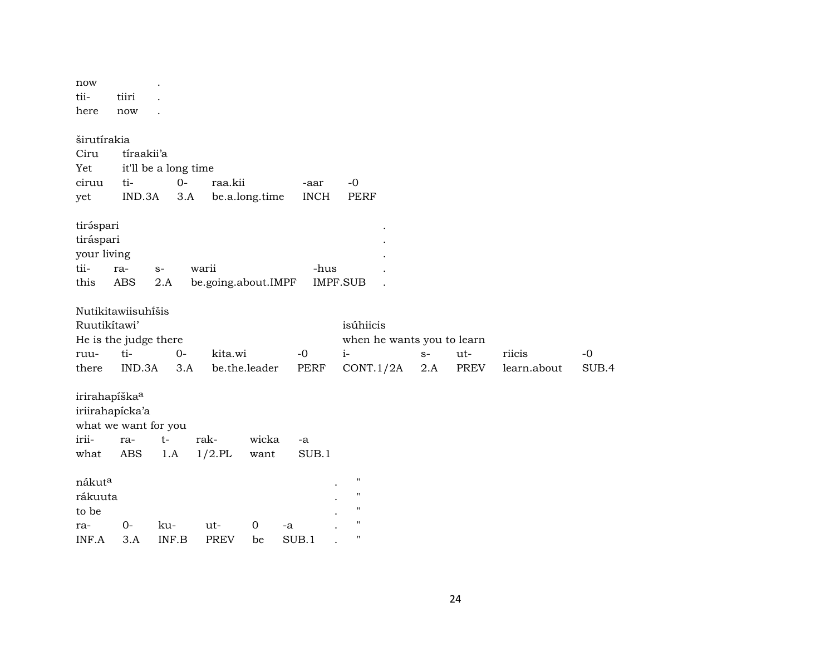| now<br>tii-                                           | tiiri                                                                |              |                    |                         |                     |                                                                                                            |             |             |                       |               |
|-------------------------------------------------------|----------------------------------------------------------------------|--------------|--------------------|-------------------------|---------------------|------------------------------------------------------------------------------------------------------------|-------------|-------------|-----------------------|---------------|
| here                                                  | now                                                                  |              |                    |                         |                     |                                                                                                            |             |             |                       |               |
| širutírakia<br>Ciru<br>Yet<br>ciruu<br>yet            | tíraakii'a<br>it'll be a long time<br>ti-<br>IND.3A                  | $O -$<br>3.A | raa.kii            | be.a.long.time          | -aar<br><b>INCH</b> | $-0$<br>PERF                                                                                               |             |             |                       |               |
| tiráspari<br>tiráspari<br>your living<br>tii-<br>this | ra-<br>$S-$<br><b>ABS</b><br>2.A                                     |              | warii              | be.going.about.IMPF     | -hus                | <b>IMPF.SUB</b>                                                                                            |             |             |                       |               |
| Ruutikítawi'<br>ruu-<br>there                         | Nutikitawiisuhĩšis<br>He is the judge there<br>ti-<br>IND.3A         | $0-$<br>3.A  | kita.wi            | be.the.leader           | $-0$<br><b>PERF</b> | isúhiicis<br>when he wants you to learn<br>$i-$<br>CONT.1/2A                                               | $S-$<br>2.A | ut-<br>PREV | riicis<br>learn.about | $-0$<br>SUB.4 |
| irirahapíška <sup>a</sup><br>irii-<br>what            | iriirahapícka'a<br>what we want for you<br>$t-$<br>ra-<br><b>ABS</b> | 1.A          | rak-<br>$1/2$ .PL  | wicka<br>want           | -a<br>SUB.1         |                                                                                                            |             |             |                       |               |
| nákuta<br>rákuuta<br>to be<br>ra-<br>INF.A            | $0-$<br>3.A                                                          | ku-<br>INF.B | ut-<br><b>PREV</b> | $\mathbf 0$<br>-a<br>be | SUB.1               | $\pmb{\mathsf{H}}$<br>$\pmb{\mathsf{H}}$<br>$\pmb{\mathsf{H}}$<br>$\pmb{\mathsf{H}}$<br>$\pmb{\mathsf{H}}$ |             |             |                       |               |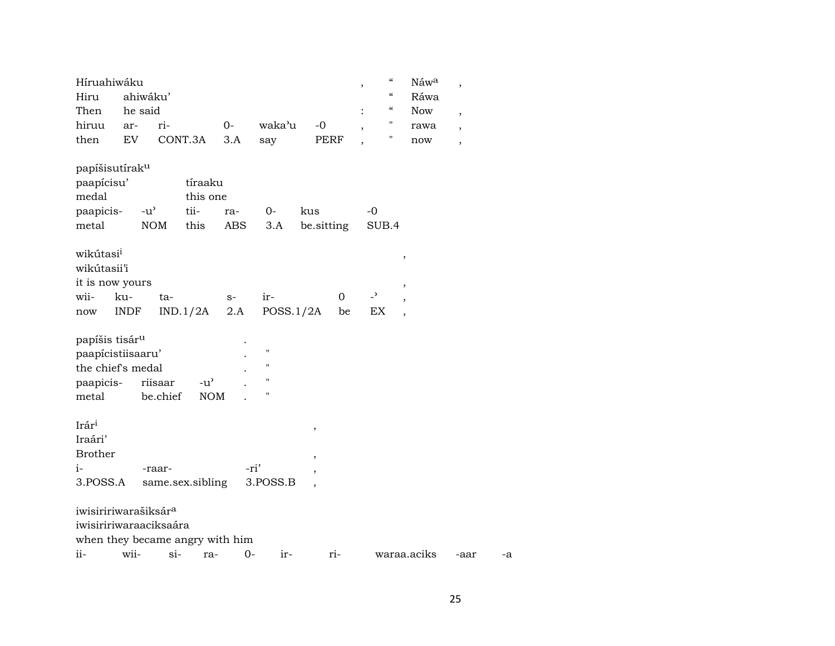| Híruahiwáku<br>Hiru<br>Then                                                                   |             | ahiwáku'<br>he said |        |                     |      |             |     |                          | $\cdot$                  | $\zeta\zeta$<br>$\mathcal{C}$<br>$\mathcal{C}\mathcal{C}$ | Náwa<br>Ráwa<br><b>Now</b> | $\overline{ }$           |    |
|-----------------------------------------------------------------------------------------------|-------------|---------------------|--------|---------------------|------|-------------|-----|--------------------------|--------------------------|-----------------------------------------------------------|----------------------------|--------------------------|----|
|                                                                                               |             |                     |        |                     | $O-$ | waka'u      |     | $-0$                     |                          | н                                                         |                            | $\overline{\phantom{a}}$ |    |
| hiruu                                                                                         | ar-         |                     | ri-    | CONT.3A             |      |             |     |                          |                          | н                                                         | rawa                       | $\overline{\phantom{a}}$ |    |
| then                                                                                          | EV          |                     |        |                     | 3.A  | say         |     | PERF                     |                          |                                                           | now                        | $\overline{\phantom{a}}$ |    |
| papíšisutírak <sup>u</sup>                                                                    |             |                     |        |                     |      |             |     |                          |                          |                                                           |                            |                          |    |
| paapícisu'                                                                                    |             |                     |        | tíraaku             |      |             |     |                          |                          |                                                           |                            |                          |    |
| medal                                                                                         |             |                     |        | this one            |      |             |     |                          |                          |                                                           |                            |                          |    |
| paapicis-                                                                                     |             | $-u^{\prime}$       |        | tii-                | ra-  | $0-$        | kus |                          | $-0$                     |                                                           |                            |                          |    |
| metal                                                                                         |             | <b>NOM</b>          |        | this                | ABS  | 3.A         |     | be sitting               |                          | SUB.4                                                     |                            |                          |    |
|                                                                                               |             |                     |        |                     |      |             |     |                          |                          |                                                           |                            |                          |    |
| wikútasi <sup>i</sup><br>wikútasii'i                                                          |             |                     |        |                     |      |             |     |                          |                          |                                                           | $\pmb{\mathcal{I}}$        |                          |    |
| it is now yours                                                                               |             |                     |        |                     |      |             |     |                          |                          |                                                           | $\,$                       |                          |    |
| wii-                                                                                          | ku-         |                     | ta-    |                     | $S-$ | ir-         |     | $\Omega$                 | $\overline{\phantom{0}}$ |                                                           |                            |                          |    |
| now                                                                                           | <b>INDF</b> |                     |        | IND.1/2A            | 2.A  | POSS.1/2A   |     | be                       | EX                       |                                                           |                            |                          |    |
| papíšis tisár $^{\rm u}$<br>paapicistiisaaru'<br>the chief's medal<br>paapicis-<br>metal      |             | riisaar<br>be.chief |        | $-u'$<br><b>NOM</b> |      | Н<br>п<br>п |     |                          |                          |                                                           |                            |                          |    |
| Irári<br>Iraári'<br><b>Brother</b>                                                            |             |                     |        |                     |      |             |     | $\pmb{\mathcal{I}}$<br>, |                          |                                                           |                            |                          |    |
| $i-$                                                                                          |             | -raar-              |        |                     |      | -ri'        |     |                          |                          |                                                           |                            |                          |    |
| 3.POSS.A                                                                                      |             |                     |        | same.sex.sibling    |      | 3.POSS.B    |     |                          |                          |                                                           |                            |                          |    |
| iwisiririwarašiksár <sup>a</sup><br>iwisiririwaraaciksaára<br>when they became angry with him |             |                     |        |                     |      |             |     |                          |                          |                                                           |                            |                          |    |
| ii-                                                                                           | wii-        |                     | $si$ - | ra-                 | $0-$ | $ir-$       |     | ri-                      |                          |                                                           | waraa.aciks                | -aar                     | -a |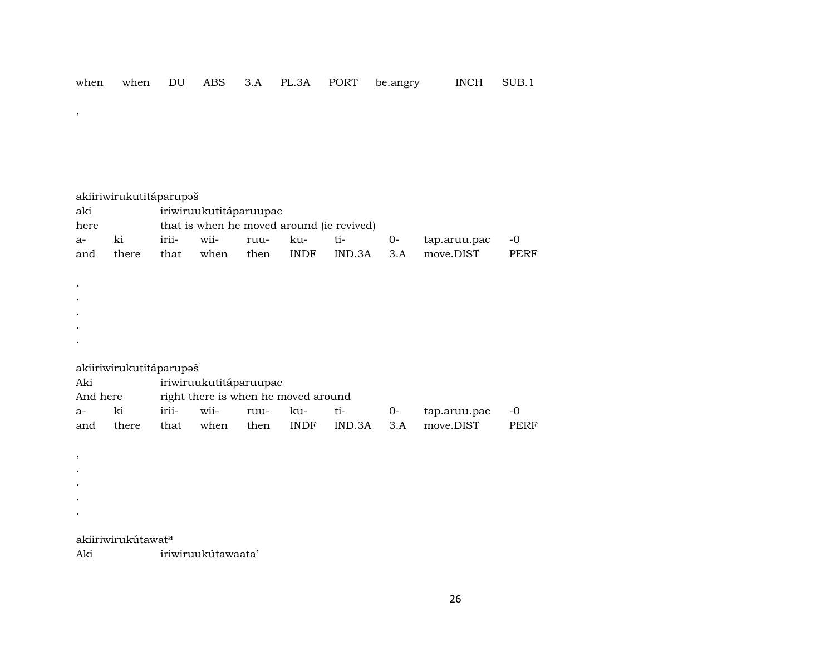akiiriwirukutitáparupaš aki iriwiruukutitáparuupac here that is when he moved around (ie revived) a- ki irii- wii- ruu- ku- ti- 0- tap.aruu.pac -0 and there that when then INDF IND.3A 3.A move.DIST PERF , . . . . akiiriwirukutitáparupaš Aki iriwiruukutitáparuupac And here right there is when he moved around a- ki irii- wii- ruu- ku- ti- 0- tap.aruu.pac -0 and there that when then INDF IND.3A 3.A move.DIST PERF , . .

akiiriwirukútawat<sup>a</sup>

. .

,

Aki iriwiruukútawaata'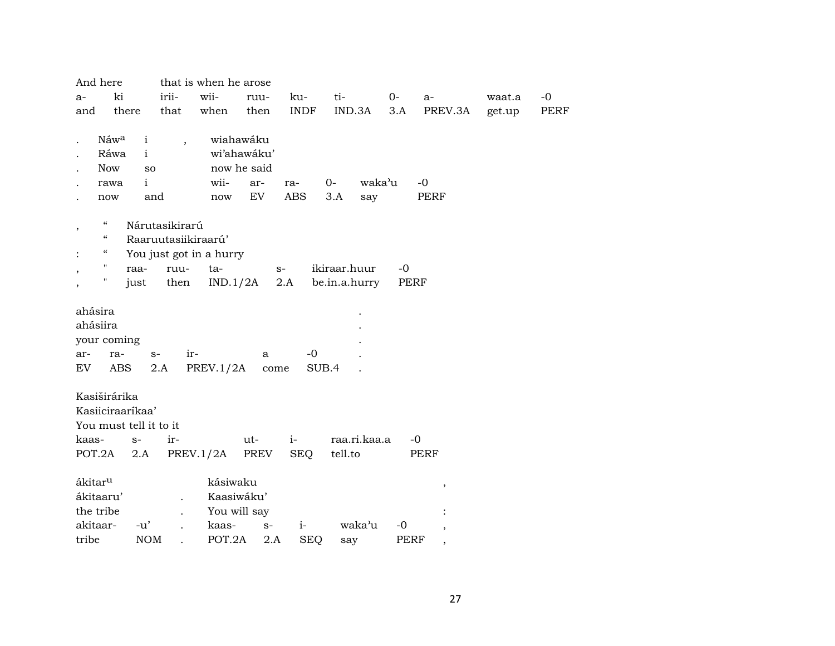| And here                               |                        |                          | that is when he arose   |              |             |                |      |                     |        |      |
|----------------------------------------|------------------------|--------------------------|-------------------------|--------------|-------------|----------------|------|---------------------|--------|------|
| $a-$                                   | ki                     | irii-                    | wii-                    | ruu-         | ku-         | ti-            | $0-$ | $a-$                | waat.a | $-0$ |
| and                                    | there                  | that                     | when                    | then         | <b>INDF</b> | IND.3A         | 3.A  | PREV.3A             | get.up | PERF |
|                                        | Náwa<br>$\mathbf{i}$   |                          |                         | wiahawáku    |             |                |      |                     |        |      |
|                                        | Ráwa<br>$\mathbf{i}$   | $\overline{\phantom{a}}$ |                         | wi'ahawáku'  |             |                |      |                     |        |      |
| Now                                    |                        | <b>SO</b>                |                         | now he said  |             |                |      |                     |        |      |
|                                        | $\mathbf{i}$<br>rawa   |                          | wii-                    | ar-          | ra-         | waka'u<br>$0-$ |      | $-0$                |        |      |
| now                                    |                        | and                      | now                     | EV           | ABS         | 3.A<br>say     |      | <b>PERF</b>         |        |      |
| $\zeta\zeta$<br>,                      |                        | Nárutasikirarú           |                         |              |             |                |      |                     |        |      |
| $\boldsymbol{\zeta}\boldsymbol{\zeta}$ |                        | Raaruutasiikiraarú'      |                         |              |             |                |      |                     |        |      |
| $\mathcal{C}\mathcal{C}$               |                        |                          | You just got in a hurry |              |             |                |      |                     |        |      |
| $\pmb{\mathsf{H}}$<br>$\,$             | raa-                   | ruu-                     | ta-                     |              | $S-$        | ikiraar.huur   | $-0$ |                     |        |      |
| 11                                     | just                   | then                     | IND.1/2A                |              | 2.A         | be.in.a.hurry  | PERF |                     |        |      |
|                                        |                        |                          |                         |              |             |                |      |                     |        |      |
| ahásira<br>ahásiira                    |                        |                          |                         |              |             |                |      |                     |        |      |
| your coming                            |                        |                          |                         |              |             |                |      |                     |        |      |
| ar-                                    | ra-                    | $S-$                     | ir-                     | a            | $-0$        |                |      |                     |        |      |
| EV                                     | ABS                    | 2.A                      | PREV.1/2A               | come         |             | SUB.4          |      |                     |        |      |
|                                        |                        |                          |                         |              |             |                |      |                     |        |      |
| Kasiširárika                           |                        |                          |                         |              |             |                |      |                     |        |      |
|                                        | Kasiiciraaríkaa'       |                          |                         |              |             |                |      |                     |        |      |
|                                        | You must tell it to it |                          |                         |              |             |                |      |                     |        |      |
| kaas-                                  | $S-$                   | ir-                      |                         | ut-          | $i-$        | raa.ri.kaa.a   |      | $-0$                |        |      |
| POT.2A                                 | 2.A                    |                          | PREV.1/2A               | PREV         | <b>SEQ</b>  | tell.to        |      | PERF                |        |      |
|                                        |                        |                          |                         |              |             |                |      |                     |        |      |
| ákitar <sup>u</sup>                    |                        |                          | kásiwaku                |              |             |                |      | $\pmb{\mathcal{I}}$ |        |      |
| ákitaaru'                              |                        | $\ddot{\phantom{a}}$     |                         | Kaasiwáku'   |             |                |      |                     |        |      |
| the tribe                              |                        |                          |                         | You will say |             |                |      |                     |        |      |
| akitaar-                               | $-u'$                  |                          | kaas-                   | $S-$         | $i-$        | waka'u         | $-0$ |                     |        |      |
| tribe                                  | <b>NOM</b>             |                          | POT.2A                  | 2.A          | <b>SEQ</b>  | say            | PERF | ,                   |        |      |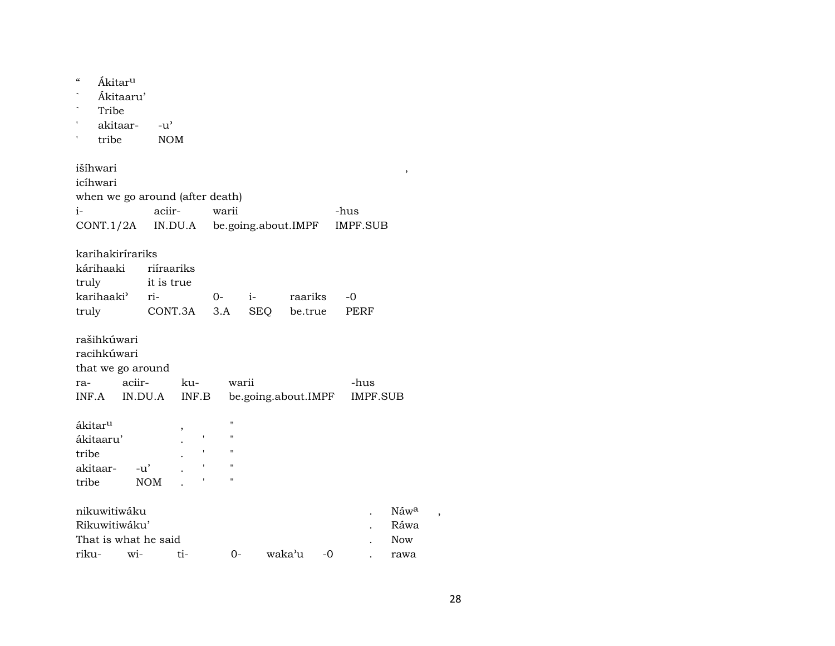| $\boldsymbol{\zeta}\boldsymbol{\zeta}$<br>1<br>ı | Ákitar <sup>u</sup><br>Ákitaaru'<br>Tribe<br>akitaar-<br>tribe | $-u'$<br><b>NOM</b> |         |       |                    |                     |        |         |                 |                 |                          |  |
|--------------------------------------------------|----------------------------------------------------------------|---------------------|---------|-------|--------------------|---------------------|--------|---------|-----------------|-----------------|--------------------------|--|
| išíhwari                                         |                                                                |                     |         |       |                    |                     |        |         |                 |                 | $\, ,$                   |  |
| icíhwari                                         |                                                                |                     |         |       |                    |                     |        |         |                 |                 |                          |  |
|                                                  | when we go around (after death)                                |                     |         |       |                    |                     |        |         |                 |                 |                          |  |
| i-                                               |                                                                | aciir-              |         | warii |                    |                     |        |         | -hus            |                 |                          |  |
|                                                  | CONT.1/2A                                                      |                     | IN.DU.A |       |                    | be.going.about.IMPF |        |         | <b>IMPF.SUB</b> |                 |                          |  |
| karihakirírariks                                 |                                                                |                     |         |       |                    |                     |        |         |                 |                 |                          |  |
| kárihaaki                                        |                                                                | riiraariks          |         |       |                    |                     |        |         |                 |                 |                          |  |
| truly                                            |                                                                | it is true          |         |       |                    |                     |        |         |                 |                 |                          |  |
|                                                  | karihaaki <sup>3</sup> ri-                                     |                     |         | 0-    |                    | $i-$                |        | raariks | -0              |                 |                          |  |
| truly                                            |                                                                | CONT.3A             |         | 3.A   |                    | <b>SEQ</b>          |        | be.true | PERF            |                 |                          |  |
| rašihkúwari<br>racihkúwari                       | that we go around                                              |                     |         |       |                    |                     |        |         |                 |                 |                          |  |
| ra-                                              | aciir-                                                         |                     | ku-     |       | warii              |                     |        |         | -hus            |                 |                          |  |
| INF.A                                            |                                                                | IN.DU.A             | INF.B   |       |                    | be.going.about.IMPF |        |         |                 | <b>IMPF.SUB</b> |                          |  |
| ákitar <sup>u</sup>                              |                                                                |                     | ,       |       | $\blacksquare$     |                     |        |         |                 |                 |                          |  |
| ákitaaru'                                        |                                                                |                     | 1       |       | $\pmb{\mathsf{H}}$ |                     |        |         |                 |                 |                          |  |
| tribe                                            |                                                                |                     |         |       | "                  |                     |        |         |                 |                 |                          |  |
| akitaar-                                         | $-u'$                                                          |                     |         |       | $\blacksquare$     |                     |        |         |                 |                 |                          |  |
| tribe                                            |                                                                | <b>NOM</b>          |         |       | $\pmb{\mathsf{H}}$ |                     |        |         |                 |                 |                          |  |
|                                                  | nikuwitiwáku<br>Rikuwitiwáku'                                  |                     |         |       |                    |                     |        |         |                 |                 | Náw <sup>a</sup><br>Ráwa |  |
|                                                  | That is what he said                                           |                     |         |       |                    |                     |        |         |                 |                 | <b>Now</b>               |  |
| riku-                                            | wi-                                                            |                     | ti-     |       | 0-                 |                     | waka'u | -0      |                 |                 | rawa                     |  |

28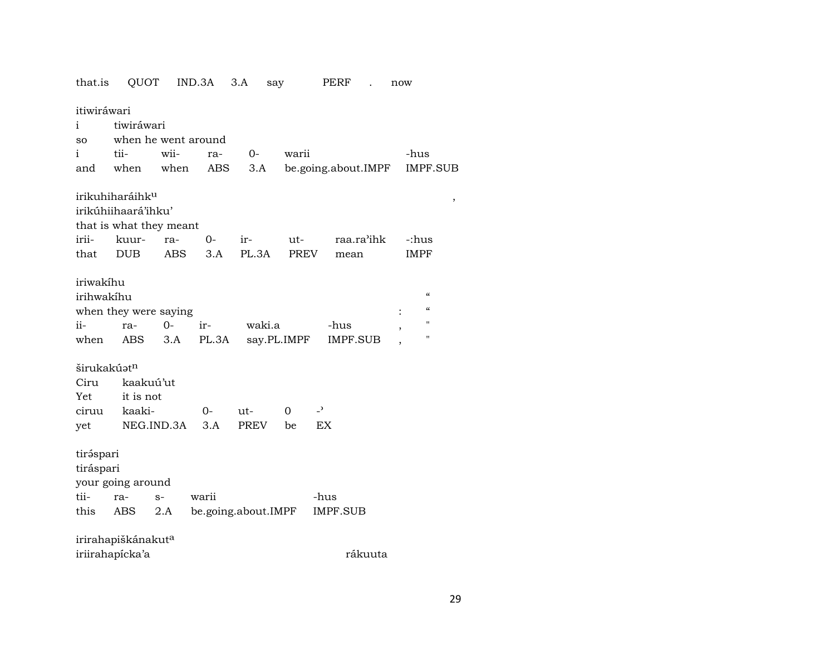| that.is                 | QUOT                           |            | IND.3A | 3.A                 | say         | PERF                | now                          |
|-------------------------|--------------------------------|------------|--------|---------------------|-------------|---------------------|------------------------------|
| itiwiráwari             |                                |            |        |                     |             |                     |                              |
| i                       | tiwiráwari                     |            |        |                     |             |                     |                              |
| SO                      | when he went around            |            |        |                     |             |                     |                              |
| i.                      | tii-                           | wii-       | ra-    | $O-$                | warii       |                     | -hus                         |
| and                     | when                           | when       | ABS    | 3.A                 |             | be.going.about.IMPF | <b>IMPF.SUB</b>              |
|                         | irikuhiharáihk <sup>u</sup>    |            |        |                     |             |                     | $^\mathrm{^\mathrm{o}}$      |
|                         | irikúhiihaará'ihku'            |            |        |                     |             |                     |                              |
|                         | that is what they meant        |            |        |                     |             |                     |                              |
| irii-                   | kuur-                          | ra-        | 0-     | ir-                 | ut-         | raa.ra'ihk          | -:hus                        |
| that                    | <b>DUB</b>                     | ABS        | 3.A    | PL.3A               | PREV        | mean                | <b>IMPF</b>                  |
| iriwakihu               |                                |            |        |                     |             |                     |                              |
| irihwakíhu              |                                |            |        |                     |             |                     | $\epsilon$                   |
|                         | when they were saying          |            |        |                     |             |                     | $\epsilon$<br>$\ddot{\cdot}$ |
| ii-                     | ra-                            | $0-$       | ir-    | waki.a              |             | -hus                | 11                           |
| when                    | ABS                            | 3.A        | PL.3A  |                     | say.PL.IMPF | IMPF.SUB            | ,<br>П                       |
|                         |                                |            |        |                     |             |                     |                              |
| širukakúət <sup>n</sup> |                                |            |        |                     |             |                     |                              |
| Ciru                    | kaakuú'ut                      |            |        |                     |             |                     |                              |
| Yet                     | it is not                      |            |        |                     |             |                     |                              |
| ciruu                   | kaaki-                         |            | 0-     | ut-                 | $\Omega$    | $\overline{a}$      |                              |
| yet                     |                                | NEG.IND.3A | 3.A    | PREV                | be          | <b>EX</b>           |                              |
| tiráspari               |                                |            |        |                     |             |                     |                              |
| tiráspari               |                                |            |        |                     |             |                     |                              |
|                         | your going around              |            |        |                     |             |                     |                              |
| tii-                    | ra-                            | $S-$       | warii  |                     |             | -hus                |                              |
| this                    | ABS                            | 2.A        |        | be.going.about.IMPF |             | <b>IMPF.SUB</b>     |                              |
|                         |                                |            |        |                     |             |                     |                              |
|                         | irirahapiškánakut <sup>a</sup> |            |        |                     |             |                     |                              |
|                         | iriirahapícka'a                |            |        |                     |             | rákuuta             |                              |

29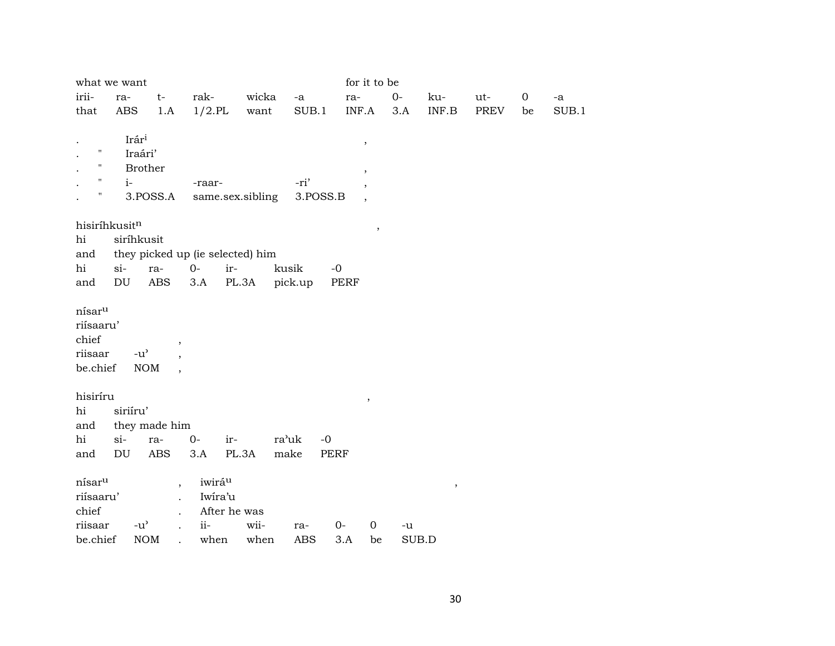|                    | what we want     |                                    |           |                                  |            |          | for it to be             |       |        |             |             |               |
|--------------------|------------------|------------------------------------|-----------|----------------------------------|------------|----------|--------------------------|-------|--------|-------------|-------------|---------------|
| irii-              | ra-              | $t-$                               | rak-      | wicka                            | $-a$       |          | ra-                      | $0-$  | ku-    | ut-         | $\mathbf 0$ | $\textrm{-a}$ |
| that               | ABS              | 1.A                                | $1/2$ .PL | want                             |            | SUB.1    | INF.A                    | 3.A   | INF.B  | <b>PREV</b> | be          | SUB.1         |
|                    |                  |                                    |           |                                  |            |          |                          |       |        |             |             |               |
| $\mathbf{H}$       | Irári<br>Iraári' |                                    |           |                                  |            |          | $\, ,$                   |       |        |             |             |               |
| Н                  |                  | <b>Brother</b>                     |           |                                  |            |          |                          |       |        |             |             |               |
|                    | $i-$             |                                    | -raar-    |                                  | -ri'       |          | $^\mathrm{,}$            |       |        |             |             |               |
| Ħ                  |                  | 3.POSS.A                           |           | same.sex.sibling                 |            | 3.POSS.B | $\, ,$                   |       |        |             |             |               |
|                    |                  |                                    |           |                                  |            |          | $\overline{\phantom{a}}$ |       |        |             |             |               |
|                    | hisiríhkusitn    |                                    |           |                                  |            |          | $\,$                     |       |        |             |             |               |
| hi                 | siríhkusit       |                                    |           |                                  |            |          |                          |       |        |             |             |               |
| and                |                  |                                    |           | they picked up (ie selected) him |            |          |                          |       |        |             |             |               |
| hi                 | $si-$            | ra-                                | $0-$      | ir-                              | kusik      | $-0$     |                          |       |        |             |             |               |
| and                | DU               | $\operatorname{ABS}$               | 3.A       | PL.3A                            | pick.up    | PERF     |                          |       |        |             |             |               |
|                    |                  |                                    |           |                                  |            |          |                          |       |        |             |             |               |
| nísar <sup>u</sup> |                  |                                    |           |                                  |            |          |                          |       |        |             |             |               |
| riísaaru'          |                  |                                    |           |                                  |            |          |                          |       |        |             |             |               |
| chief              |                  | $\, ,$                             |           |                                  |            |          |                          |       |        |             |             |               |
| riisaar            | $-u^{\prime}$    |                                    |           |                                  |            |          |                          |       |        |             |             |               |
| be.chief           |                  | <b>NOM</b><br>$\ddot{\phantom{0}}$ |           |                                  |            |          |                          |       |        |             |             |               |
| hisiríru           |                  |                                    |           |                                  |            |          |                          |       |        |             |             |               |
| hi                 | siriíru'         |                                    |           |                                  |            |          | $\, ,$                   |       |        |             |             |               |
| and                |                  | they made him                      |           |                                  |            |          |                          |       |        |             |             |               |
| hi                 | $si-$            | ra-                                | $0-$      | ir-                              | ra'uk      | $-0$     |                          |       |        |             |             |               |
| and                | DU               | <b>ABS</b>                         | 3.A       | PL.3A                            | make       | PERF     |                          |       |        |             |             |               |
|                    |                  |                                    |           |                                  |            |          |                          |       |        |             |             |               |
| nísar <sup>u</sup> |                  | $\overline{\phantom{a}}$           |           | iwirá <sup>u</sup>               |            |          |                          |       | $\, ,$ |             |             |               |
| riísaaru'          |                  |                                    |           | Iwira'u                          |            |          |                          |       |        |             |             |               |
| chief              |                  |                                    |           | After he was                     |            |          |                          |       |        |             |             |               |
| riisaar            | $-u^{\prime}$    | $\ddot{\phantom{a}}$               | $ii-$     | wii-                             | ra-        | $0-$     | $\boldsymbol{0}$         | $-u$  |        |             |             |               |
| be.chief           |                  | $\rm{NOM}$                         | when      | when                             | <b>ABS</b> | 3.A      | be                       | SUB.D |        |             |             |               |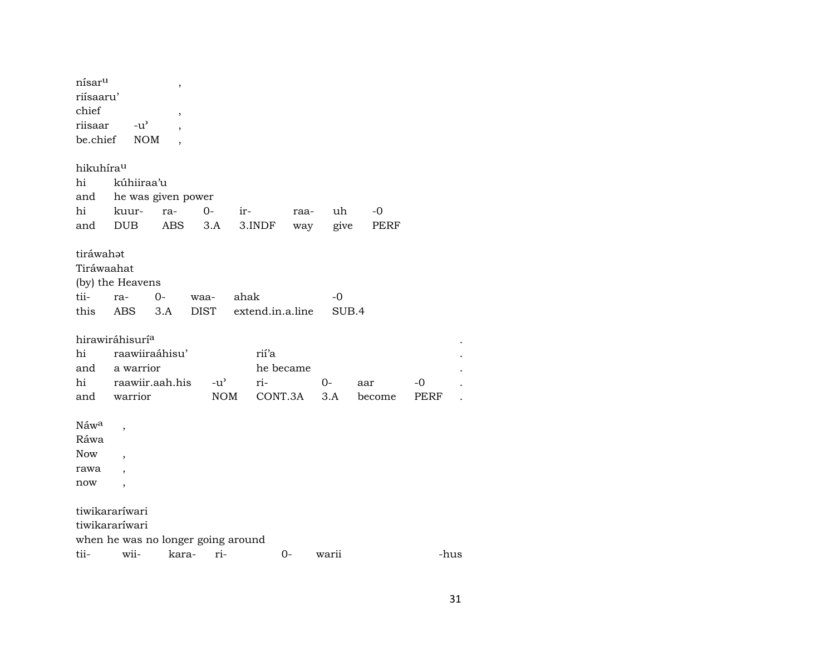| nísar <sup>u</sup><br>riísaaru'<br>chief<br>riisaar<br>be.chief | $-u$ <sup><math>\prime</math></sup><br><b>NOM</b> | ,<br>,     |               |        |                  |       |        |      |      |
|-----------------------------------------------------------------|---------------------------------------------------|------------|---------------|--------|------------------|-------|--------|------|------|
| hikuhírau                                                       |                                                   |            |               |        |                  |       |        |      |      |
| hi<br>and                                                       | kúhiiraa'u<br>he was given power                  |            |               |        |                  |       |        |      |      |
| hi                                                              | kuur-                                             | ra-        | $0-$          | ir-    | raa-             | uh    | $-0$   |      |      |
| and                                                             | <b>DUB</b>                                        | <b>ABS</b> | 3.A           | 3.INDF | way              | give  | PERF   |      |      |
| tiráwahat<br>Tiráwaahat                                         | (by) the Heavens                                  |            |               |        |                  |       |        |      |      |
| tii-                                                            | ra-                                               | $O -$      | waa-          | ahak   |                  | -0    |        |      |      |
| this                                                            | <b>ABS</b>                                        | 3.A        | <b>DIST</b>   |        | extend.in.a.line | SUB.4 |        |      |      |
|                                                                 | hirawiráhisurí <sup>a</sup>                       |            |               |        |                  |       |        |      |      |
| hi                                                              | raawiiraáhisu'                                    |            |               | rií'a  |                  |       |        |      |      |
| and                                                             | a warrior                                         |            |               |        | he became        |       |        |      |      |
| hi                                                              | raawiir.aah.his                                   |            | $-u^{\prime}$ | ri-    |                  | $0-$  | aar    | -0   |      |
| and                                                             | warrior                                           |            | $\rm{NOM}$    |        | CONT.3A          | 3.A   | become | PERF |      |
| Náwa                                                            |                                                   |            |               |        |                  |       |        |      |      |
| Ráwa                                                            |                                                   |            |               |        |                  |       |        |      |      |
| <b>Now</b>                                                      |                                                   |            |               |        |                  |       |        |      |      |
| rawa                                                            |                                                   |            |               |        |                  |       |        |      |      |
| now                                                             | $\overline{\phantom{a}}$                          |            |               |        |                  |       |        |      |      |
|                                                                 | tiwikararíwari                                    |            |               |        |                  |       |        |      |      |
|                                                                 | tiwikararíwari                                    |            |               |        |                  |       |        |      |      |
|                                                                 | when he was no longer going around                |            |               |        |                  |       |        |      |      |
| tii-                                                            | wii-                                              | kara-      | ri-           |        | 0-               | warii |        |      | -hus |

 $31$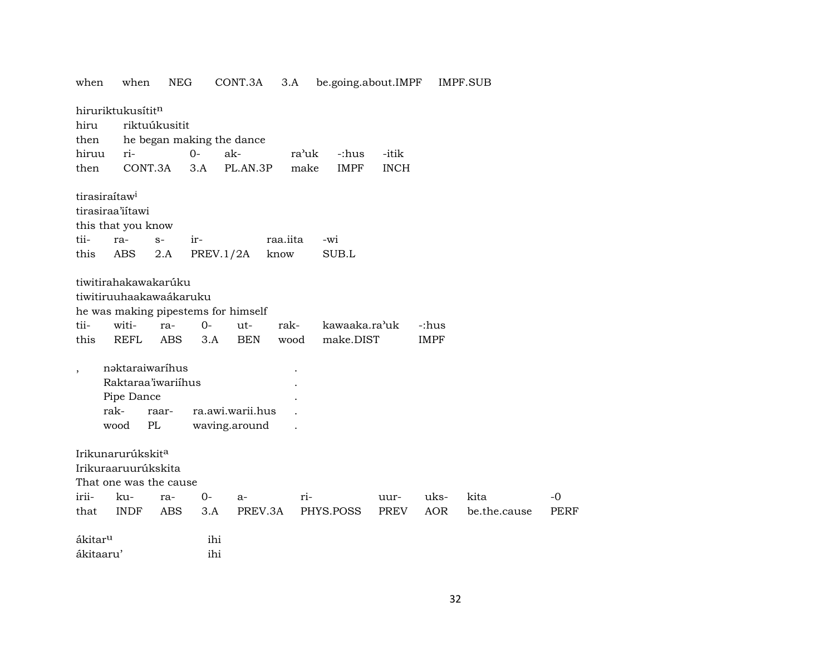| when                                     | when                                                                                                                                                          | <b>NEG</b>                |                           | CONT.3A                                                | 3.A          | be.going.about.IMPF        |             |                      | IMPF.SUB     |             |
|------------------------------------------|---------------------------------------------------------------------------------------------------------------------------------------------------------------|---------------------------|---------------------------|--------------------------------------------------------|--------------|----------------------------|-------------|----------------------|--------------|-------------|
|                                          | hiruriktukusítitn                                                                                                                                             |                           |                           |                                                        |              |                            |             |                      |              |             |
| hiru                                     |                                                                                                                                                               | riktuúkusitit             |                           |                                                        |              |                            |             |                      |              |             |
| then                                     |                                                                                                                                                               |                           | he began making the dance |                                                        |              |                            |             |                      |              |             |
| hiruu                                    | ri-                                                                                                                                                           |                           | $0-$                      | ak-                                                    |              | ra'uk<br>-:hus             | -itik       |                      |              |             |
| then                                     | CONT.3A                                                                                                                                                       |                           | 3.A                       | PL.AN.3P                                               |              | make<br><b>IMPF</b>        | <b>INCH</b> |                      |              |             |
|                                          | tirasiraítaw <sup>i</sup>                                                                                                                                     |                           |                           |                                                        |              |                            |             |                      |              |             |
|                                          | tirasiraa'iítawi                                                                                                                                              |                           |                           |                                                        |              |                            |             |                      |              |             |
|                                          | this that you know                                                                                                                                            |                           |                           |                                                        |              |                            |             |                      |              |             |
| tii-                                     | ra-                                                                                                                                                           | $S-$                      | ir-                       |                                                        | raa.iita     | -wi                        |             |                      |              |             |
| this                                     | ABS                                                                                                                                                           | 2.A                       | PREV.1/2A                 |                                                        | know         | SUB.L                      |             |                      |              |             |
| tii-<br>this<br>$\overline{\phantom{a}}$ | tiwitiruuhaakawaákaruku<br>he was making pipestems for himself<br>witi-<br><b>REFL</b><br>nəktaraiwaríhus<br>Raktaraa'iwariihus<br>Pipe Dance<br>rak-<br>wood | ra-<br>ABS<br>raar-<br>PL | $0-$<br>3.A               | ut-<br><b>BEN</b><br>ra.awi.warii.hus<br>waving.around | rak-<br>wood | kawaaka.ra'uk<br>make.DIST |             | -:hus<br><b>IMPF</b> |              |             |
|                                          | Irikunarurúkskit <sup>a</sup><br>Irikuraaruurúkskita<br>That one was the cause                                                                                |                           |                           |                                                        |              |                            |             |                      |              |             |
| irii-                                    | ku-                                                                                                                                                           | ra-                       | $0-$                      | a-                                                     |              | ri-                        | uur-        | uks-                 | kita         | $-0$        |
| that                                     | <b>INDF</b>                                                                                                                                                   | <b>ABS</b>                | 3.A                       | PREV.3A                                                |              | PHYS.POSS                  | PREV        | <b>AOR</b>           | be.the.cause | <b>PERF</b> |
| ákitar <sup>u</sup>                      |                                                                                                                                                               |                           | ihi                       |                                                        |              |                            |             |                      |              |             |
| ákitaaru'                                |                                                                                                                                                               |                           | ihi                       |                                                        |              |                            |             |                      |              |             |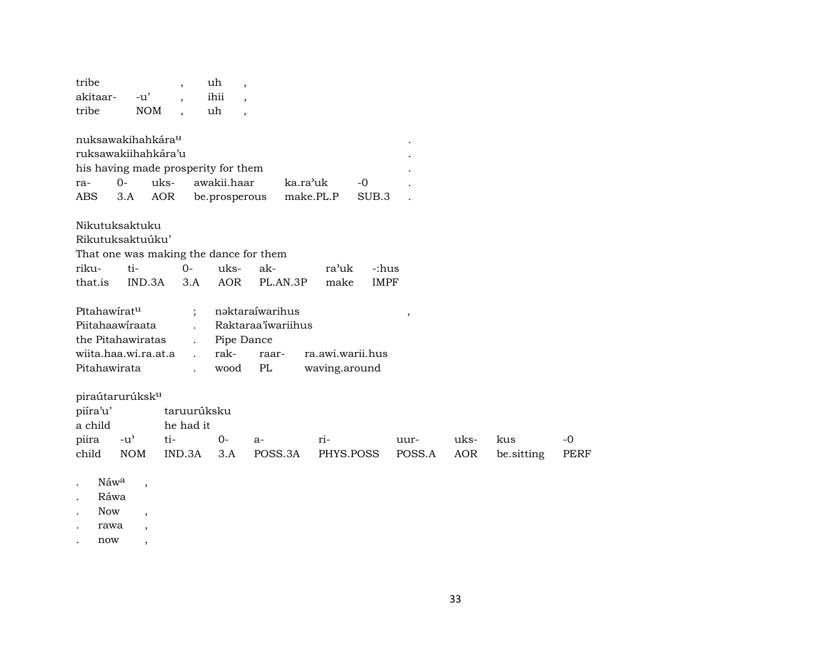| tribe                               |               |            | $\cdot$     | uh<br>$\overline{\phantom{a}}$         |                    |                    |               |      |            |             |
|-------------------------------------|---------------|------------|-------------|----------------------------------------|--------------------|--------------------|---------------|------|------------|-------------|
| akitaar-                            | $-u'$         |            |             | ihii                                   |                    |                    |               |      |            |             |
| tribe                               |               | <b>NOM</b> |             | uh<br>$\cdot$                          |                    |                    |               |      |            |             |
|                                     |               |            |             |                                        |                    |                    |               |      |            |             |
| nuksawakihahkára <sup>u</sup>       |               |            |             |                                        |                    |                    |               |      |            |             |
| ruksawakiihahkára'u                 |               |            |             |                                        |                    |                    |               |      |            |             |
| his having made prosperity for them |               |            |             |                                        |                    |                    |               |      |            |             |
| ra-                                 | $0-$          | uks-       |             | awakii.haar                            | ka.ra'uk           | $-0$               |               |      |            |             |
| ABS                                 | 3.A           | AOR        |             | be.prosperous                          |                    | make.PL.P<br>SUB.3 |               |      |            |             |
|                                     |               |            |             |                                        |                    |                    |               |      |            |             |
| Nikutuksaktuku                      |               |            |             |                                        |                    |                    |               |      |            |             |
| Rikutuksaktuúku'                    |               |            |             |                                        |                    |                    |               |      |            |             |
|                                     |               |            |             | That one was making the dance for them |                    |                    |               |      |            |             |
| riku-                               | ti-           |            | $0-$        | uks-                                   | ak-                | ra'uk              | -:hus         |      |            |             |
| that.is                             | IND.3A        |            | 3.A         | <b>AOR</b>                             | PL.AN.3P           | make               | <b>IMPF</b>   |      |            |             |
|                                     |               |            |             |                                        |                    |                    |               |      |            |             |
| Pîtahawirat <sup>u</sup>            |               |            |             |                                        | nəktaraíwarihus    |                    | $^\mathrm{,}$ |      |            |             |
| Piitahaawiraata                     |               |            |             |                                        | Raktaraa iwariihus |                    |               |      |            |             |
| the Pitahawiratas                   |               |            |             | Pipe Dance                             |                    |                    |               |      |            |             |
| wiita.haa.wi.ra.at.a                |               |            |             | rak-                                   | raar-              | ra.awi.warii.hus   |               |      |            |             |
| Pitahawirata                        |               |            |             | wood                                   | PL                 | waving.around      |               |      |            |             |
|                                     |               |            |             |                                        |                    |                    |               |      |            |             |
| piraútarurúksk <sup>u</sup>         |               |            |             |                                        |                    |                    |               |      |            |             |
| piíra'u'                            |               |            | taruurúksku |                                        |                    |                    |               |      |            |             |
| a child                             |               |            | he had it   |                                        |                    |                    |               |      |            |             |
| piira                               | $-u^{\prime}$ | ti-        |             | $0-$                                   | $a-$               | ri-                | uur-          | uks- | kus        | $-0$        |
| child                               | <b>NOM</b>    |            | IND.3A      | 3.A                                    | POSS.3A            | PHYS.POSS          | POSS.A        | AOR  | be.sitting | <b>PERF</b> |
|                                     |               |            |             |                                        |                    |                    |               |      |            |             |
|                                     |               |            |             |                                        |                    |                    |               |      |            |             |

- . Náw $^a$  ,
- . Ráwa
- . Now ,
- . rawa ,
- . now ,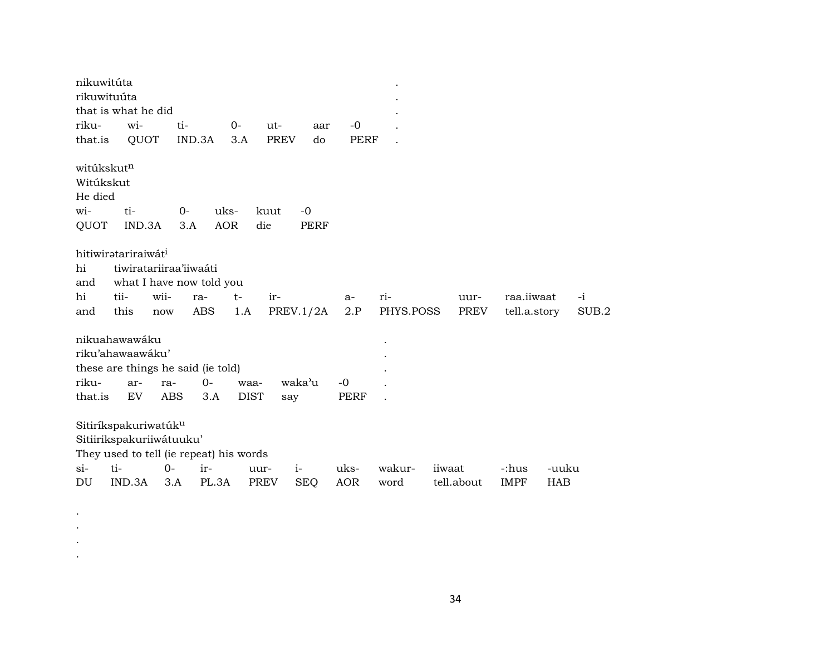| nikuwitúta                                                    |               |                                         |                                                         |                     |                  |                     |                     |                  |                      |                            |                     |             |
|---------------------------------------------------------------|---------------|-----------------------------------------|---------------------------------------------------------|---------------------|------------------|---------------------|---------------------|------------------|----------------------|----------------------------|---------------------|-------------|
| rikuwituúta                                                   |               |                                         |                                                         |                     |                  |                     |                     |                  |                      |                            |                     |             |
| that is what he did                                           |               |                                         |                                                         |                     |                  |                     |                     |                  |                      |                            |                     |             |
| riku-                                                         | wi-           | ti-                                     |                                                         | $0-$                | ut-              | aar                 | -0                  |                  |                      |                            |                     |             |
| that.is                                                       | QUOT          |                                         | IND.3A                                                  | 3.A                 | <b>PREV</b>      | do                  | <b>PERF</b>         |                  |                      |                            |                     |             |
| witúkskut <sup>n</sup><br>Witúkskut<br>He died<br>wi-<br>QUOT | ti-<br>IND.3A | $0-$<br>3.A                             | uks-<br><b>AOR</b>                                      |                     | kuut<br>die      | $-0$<br><b>PERF</b> |                     |                  |                      |                            |                     |             |
| hitiwiratariraiwát <sup>i</sup><br>hi<br>and<br>hi<br>and     | tii-<br>this  | tiwiratariiraa'iiwaáti<br>wii-<br>now   | what I have now told you<br>ra-<br>ABS                  | $t-$<br>1.A         | ir-<br>PREV.1/2A |                     | $a-$<br>2.P         | ri-<br>PHYS.POSS | uur-<br>PREV         | raa.iiwaat<br>tell.a.story |                     | -i<br>SUB.2 |
| nikuahawawáku<br>riku'ahawaawáku'<br>riku-<br>that.is         | ar-<br>EV     | ra-<br>ABS                              | these are things he said (ie told)<br>$0-$<br>3.A       | waa-<br><b>DIST</b> | waka'u<br>say    |                     | $-0$<br><b>PERF</b> |                  |                      |                            |                     |             |
| Sitiríkspakuriwatúk <sup>u</sup><br>$\sin$<br>DU              | ti-<br>IND.3A | Sitiirikspakuriiwátuuku'<br>$0-$<br>3.A | They used to tell (ie repeat) his words<br>ir-<br>PL.3A | uur-<br>PREV        | $i-$             | <b>SEQ</b>          | uks-<br><b>AOR</b>  | wakur-<br>word   | iiwaat<br>tell.about | -:hus<br><b>IMPF</b>       | -uuku<br><b>HAB</b> |             |

. . . .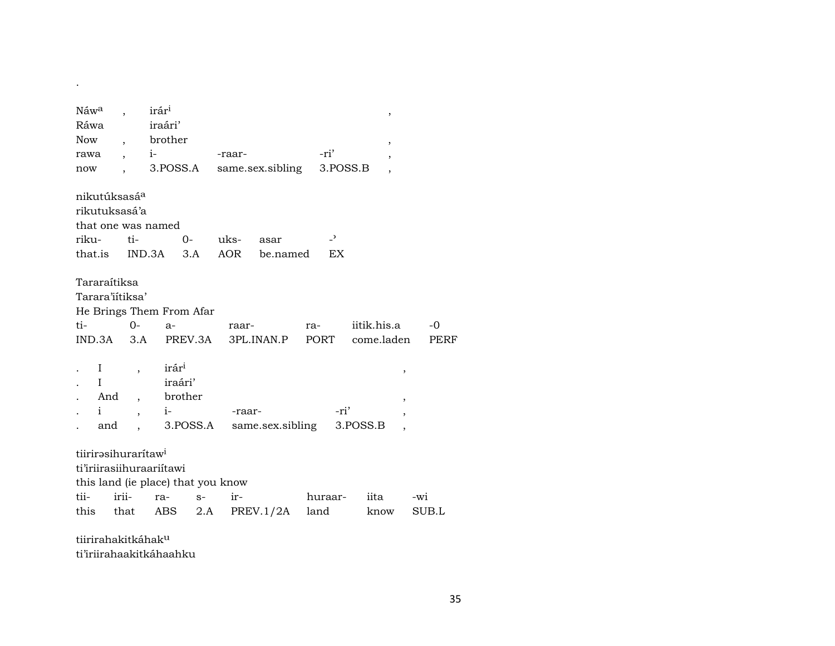| Náw <sup>a</sup><br>Ráwa<br>Now<br>rawa                                                                   | $\overline{\phantom{a}}$<br>$\ddot{\phantom{0}}$ | irár <sup>i</sup><br>iraári'<br>brother<br>$i-$ |          | -raar-      |                  |      | -ri'                           |                           | ,<br>$\overline{\phantom{a}}$<br>$\overline{\phantom{a}}$      |             |
|-----------------------------------------------------------------------------------------------------------|--------------------------------------------------|-------------------------------------------------|----------|-------------|------------------|------|--------------------------------|---------------------------|----------------------------------------------------------------|-------------|
| now                                                                                                       |                                                  | 3.POSS.A                                        |          |             | same.sex.sibling |      | 3.POSS.B                       |                           | $\overline{\phantom{a}}$                                       |             |
| nikutúksasá <sup>a</sup><br>rikutuksasá'a<br>that one was named<br>riku-<br>that.is IND.3A 3.A            | ti-                                              | $0-$                                            |          | uks-<br>AOR | asar<br>be.named |      | $\overline{\phantom{a}}$<br>EX |                           |                                                                |             |
| Tararaítiksa<br>Tarara'iitiksa'<br>He Brings Them From Afar<br>ti-<br>IND.3A                              | $0-$<br>3.A                                      | $a-$                                            | PREV.3A  | raar-       | 3PL.INAN.P       | ra-  | PORT                           | iitik.his.a<br>come.laden |                                                                | $-0$<br>PEI |
| $\bf{I}$<br>I<br>And<br>$\mathbf{i}$<br>and                                                               | $\overline{\phantom{a}}$                         | irár <sup>i</sup><br>iraári'<br>brother<br>$i-$ | 3.POSS.A | -raar-      | same.sex.sibling |      | -ri'                           | 3.POSS.B                  | ,<br>,<br>$\overline{\phantom{a}}$<br>$\overline{\phantom{a}}$ |             |
| tiirirəsihuraritaw <sup>i</sup><br>ti'iriirasiihuraariitawi<br>this land (ie place) that you know<br>tii- | irii-                                            | ra-                                             | $S-$     | ir-         |                  |      | huraar-                        | iita                      |                                                                | -wi         |
| this that ABS                                                                                             |                                                  |                                                 | 2.A      |             | PREV.1/2A        | land |                                | know                      |                                                                | SUB.L       |
| tiirirahakitkáhak <sup>u</sup>                                                                            |                                                  |                                                 |          |             |                  |      |                                |                           |                                                                |             |

ti'iriirahaakitkáhaahku

 $\sim 10^{-10}$ 

 $-0$ PERF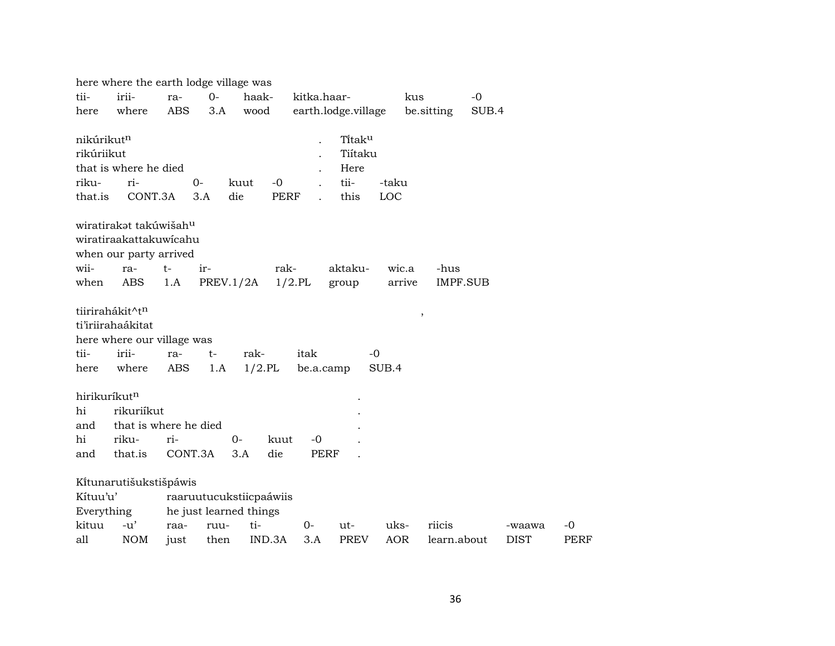| irii-<br>$0-$<br>tii-<br>haak-<br>kitka.haar-<br>$-0$<br>kus<br>ra-<br>where<br><b>ABS</b><br>3.A<br>wood<br>earth.lodge.village<br>be sitting<br>SUB.4<br>here<br>nikúrikut <sup>n</sup><br>Titaku<br>rikúriikut<br>Tiítaku<br>that is where he died<br>Here<br>tii-<br>riku-<br>ri-<br>$0-$<br>$-0$<br>-taku<br>kuut<br>CONT.3A<br><b>PERF</b><br>this<br>LOC<br>that.is<br>3.A<br>die<br>wiratirakat takúwišah <sup>u</sup><br>wiratiraakattakuwicahu<br>when our party arrived<br>wii-<br>aktaku-<br>$t-$<br>ir-<br>rak-<br>wic.a<br>-hus<br>ra-<br>ABS<br>1.A<br>PREV.1/2A<br>$1/2$ .PL<br>when<br>arrive<br><b>IMPF.SUB</b><br>group<br>tiirirahákit^tn<br>$\, ,$<br>ti'iriirahaákitat<br>here where our village was<br>irii-<br>tii-<br>rak-<br>itak<br>$-0$<br>ra-<br>t-<br>$1/2$ .PL<br><b>ABS</b><br>here<br>where<br>1.A<br>be.a.camp<br>SUB.4<br>hirikuríkutn<br>rikuriíkut<br>hi<br>that is where he died<br>and<br>hi<br>riku-<br>ri-<br>$0-$<br>kuut<br>-0<br>CONT.3A<br>that.is<br>3.A<br>die<br><b>PERF</b><br>and<br>Kítunarutišukstišpáwis<br>Kítuu'u'<br>raaruutucukstiicpaáwiis<br>he just learned things<br>Everything<br>$-u'$<br>kituu<br>ti-<br>riicis<br>ruu-<br>0-<br>uks-<br>$-0$<br>raa-<br>ut-<br>-waawa<br><b>AOR</b><br><b>NOM</b><br>IND.3A<br>PREV<br><b>DIST</b><br>all<br>then<br>3.A<br>learn.about<br>just |  | here where the earth lodge village was |  |  |  |  |  |  |  |  |  |             |  |
|--------------------------------------------------------------------------------------------------------------------------------------------------------------------------------------------------------------------------------------------------------------------------------------------------------------------------------------------------------------------------------------------------------------------------------------------------------------------------------------------------------------------------------------------------------------------------------------------------------------------------------------------------------------------------------------------------------------------------------------------------------------------------------------------------------------------------------------------------------------------------------------------------------------------------------------------------------------------------------------------------------------------------------------------------------------------------------------------------------------------------------------------------------------------------------------------------------------------------------------------------------------------------------------------------------------------------------------------------|--|----------------------------------------|--|--|--|--|--|--|--|--|--|-------------|--|
|                                                                                                                                                                                                                                                                                                                                                                                                                                                                                                                                                                                                                                                                                                                                                                                                                                                                                                                                                                                                                                                                                                                                                                                                                                                                                                                                                  |  |                                        |  |  |  |  |  |  |  |  |  |             |  |
|                                                                                                                                                                                                                                                                                                                                                                                                                                                                                                                                                                                                                                                                                                                                                                                                                                                                                                                                                                                                                                                                                                                                                                                                                                                                                                                                                  |  |                                        |  |  |  |  |  |  |  |  |  |             |  |
|                                                                                                                                                                                                                                                                                                                                                                                                                                                                                                                                                                                                                                                                                                                                                                                                                                                                                                                                                                                                                                                                                                                                                                                                                                                                                                                                                  |  |                                        |  |  |  |  |  |  |  |  |  |             |  |
|                                                                                                                                                                                                                                                                                                                                                                                                                                                                                                                                                                                                                                                                                                                                                                                                                                                                                                                                                                                                                                                                                                                                                                                                                                                                                                                                                  |  |                                        |  |  |  |  |  |  |  |  |  |             |  |
|                                                                                                                                                                                                                                                                                                                                                                                                                                                                                                                                                                                                                                                                                                                                                                                                                                                                                                                                                                                                                                                                                                                                                                                                                                                                                                                                                  |  |                                        |  |  |  |  |  |  |  |  |  |             |  |
|                                                                                                                                                                                                                                                                                                                                                                                                                                                                                                                                                                                                                                                                                                                                                                                                                                                                                                                                                                                                                                                                                                                                                                                                                                                                                                                                                  |  |                                        |  |  |  |  |  |  |  |  |  |             |  |
|                                                                                                                                                                                                                                                                                                                                                                                                                                                                                                                                                                                                                                                                                                                                                                                                                                                                                                                                                                                                                                                                                                                                                                                                                                                                                                                                                  |  |                                        |  |  |  |  |  |  |  |  |  |             |  |
|                                                                                                                                                                                                                                                                                                                                                                                                                                                                                                                                                                                                                                                                                                                                                                                                                                                                                                                                                                                                                                                                                                                                                                                                                                                                                                                                                  |  |                                        |  |  |  |  |  |  |  |  |  |             |  |
|                                                                                                                                                                                                                                                                                                                                                                                                                                                                                                                                                                                                                                                                                                                                                                                                                                                                                                                                                                                                                                                                                                                                                                                                                                                                                                                                                  |  |                                        |  |  |  |  |  |  |  |  |  |             |  |
|                                                                                                                                                                                                                                                                                                                                                                                                                                                                                                                                                                                                                                                                                                                                                                                                                                                                                                                                                                                                                                                                                                                                                                                                                                                                                                                                                  |  |                                        |  |  |  |  |  |  |  |  |  |             |  |
|                                                                                                                                                                                                                                                                                                                                                                                                                                                                                                                                                                                                                                                                                                                                                                                                                                                                                                                                                                                                                                                                                                                                                                                                                                                                                                                                                  |  |                                        |  |  |  |  |  |  |  |  |  |             |  |
|                                                                                                                                                                                                                                                                                                                                                                                                                                                                                                                                                                                                                                                                                                                                                                                                                                                                                                                                                                                                                                                                                                                                                                                                                                                                                                                                                  |  |                                        |  |  |  |  |  |  |  |  |  |             |  |
|                                                                                                                                                                                                                                                                                                                                                                                                                                                                                                                                                                                                                                                                                                                                                                                                                                                                                                                                                                                                                                                                                                                                                                                                                                                                                                                                                  |  |                                        |  |  |  |  |  |  |  |  |  |             |  |
|                                                                                                                                                                                                                                                                                                                                                                                                                                                                                                                                                                                                                                                                                                                                                                                                                                                                                                                                                                                                                                                                                                                                                                                                                                                                                                                                                  |  |                                        |  |  |  |  |  |  |  |  |  |             |  |
|                                                                                                                                                                                                                                                                                                                                                                                                                                                                                                                                                                                                                                                                                                                                                                                                                                                                                                                                                                                                                                                                                                                                                                                                                                                                                                                                                  |  |                                        |  |  |  |  |  |  |  |  |  |             |  |
|                                                                                                                                                                                                                                                                                                                                                                                                                                                                                                                                                                                                                                                                                                                                                                                                                                                                                                                                                                                                                                                                                                                                                                                                                                                                                                                                                  |  |                                        |  |  |  |  |  |  |  |  |  |             |  |
|                                                                                                                                                                                                                                                                                                                                                                                                                                                                                                                                                                                                                                                                                                                                                                                                                                                                                                                                                                                                                                                                                                                                                                                                                                                                                                                                                  |  |                                        |  |  |  |  |  |  |  |  |  |             |  |
|                                                                                                                                                                                                                                                                                                                                                                                                                                                                                                                                                                                                                                                                                                                                                                                                                                                                                                                                                                                                                                                                                                                                                                                                                                                                                                                                                  |  |                                        |  |  |  |  |  |  |  |  |  |             |  |
|                                                                                                                                                                                                                                                                                                                                                                                                                                                                                                                                                                                                                                                                                                                                                                                                                                                                                                                                                                                                                                                                                                                                                                                                                                                                                                                                                  |  |                                        |  |  |  |  |  |  |  |  |  |             |  |
|                                                                                                                                                                                                                                                                                                                                                                                                                                                                                                                                                                                                                                                                                                                                                                                                                                                                                                                                                                                                                                                                                                                                                                                                                                                                                                                                                  |  |                                        |  |  |  |  |  |  |  |  |  |             |  |
|                                                                                                                                                                                                                                                                                                                                                                                                                                                                                                                                                                                                                                                                                                                                                                                                                                                                                                                                                                                                                                                                                                                                                                                                                                                                                                                                                  |  |                                        |  |  |  |  |  |  |  |  |  |             |  |
|                                                                                                                                                                                                                                                                                                                                                                                                                                                                                                                                                                                                                                                                                                                                                                                                                                                                                                                                                                                                                                                                                                                                                                                                                                                                                                                                                  |  |                                        |  |  |  |  |  |  |  |  |  |             |  |
|                                                                                                                                                                                                                                                                                                                                                                                                                                                                                                                                                                                                                                                                                                                                                                                                                                                                                                                                                                                                                                                                                                                                                                                                                                                                                                                                                  |  |                                        |  |  |  |  |  |  |  |  |  |             |  |
|                                                                                                                                                                                                                                                                                                                                                                                                                                                                                                                                                                                                                                                                                                                                                                                                                                                                                                                                                                                                                                                                                                                                                                                                                                                                                                                                                  |  |                                        |  |  |  |  |  |  |  |  |  |             |  |
|                                                                                                                                                                                                                                                                                                                                                                                                                                                                                                                                                                                                                                                                                                                                                                                                                                                                                                                                                                                                                                                                                                                                                                                                                                                                                                                                                  |  |                                        |  |  |  |  |  |  |  |  |  |             |  |
|                                                                                                                                                                                                                                                                                                                                                                                                                                                                                                                                                                                                                                                                                                                                                                                                                                                                                                                                                                                                                                                                                                                                                                                                                                                                                                                                                  |  |                                        |  |  |  |  |  |  |  |  |  |             |  |
|                                                                                                                                                                                                                                                                                                                                                                                                                                                                                                                                                                                                                                                                                                                                                                                                                                                                                                                                                                                                                                                                                                                                                                                                                                                                                                                                                  |  |                                        |  |  |  |  |  |  |  |  |  |             |  |
|                                                                                                                                                                                                                                                                                                                                                                                                                                                                                                                                                                                                                                                                                                                                                                                                                                                                                                                                                                                                                                                                                                                                                                                                                                                                                                                                                  |  |                                        |  |  |  |  |  |  |  |  |  |             |  |
|                                                                                                                                                                                                                                                                                                                                                                                                                                                                                                                                                                                                                                                                                                                                                                                                                                                                                                                                                                                                                                                                                                                                                                                                                                                                                                                                                  |  |                                        |  |  |  |  |  |  |  |  |  |             |  |
|                                                                                                                                                                                                                                                                                                                                                                                                                                                                                                                                                                                                                                                                                                                                                                                                                                                                                                                                                                                                                                                                                                                                                                                                                                                                                                                                                  |  |                                        |  |  |  |  |  |  |  |  |  |             |  |
|                                                                                                                                                                                                                                                                                                                                                                                                                                                                                                                                                                                                                                                                                                                                                                                                                                                                                                                                                                                                                                                                                                                                                                                                                                                                                                                                                  |  |                                        |  |  |  |  |  |  |  |  |  |             |  |
|                                                                                                                                                                                                                                                                                                                                                                                                                                                                                                                                                                                                                                                                                                                                                                                                                                                                                                                                                                                                                                                                                                                                                                                                                                                                                                                                                  |  |                                        |  |  |  |  |  |  |  |  |  | <b>PERF</b> |  |